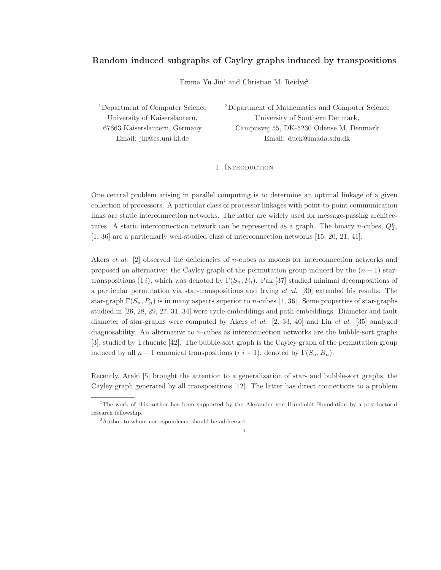# Random induced subgraphs of Cayley graphs induced by transpositions

Emma Yu Jin<sup>1</sup> and Christian M. Reidys<sup>2</sup>

<sup>1</sup>Department of Computer Science University of Kaiserslautern, 67663 Kaiserslautern, Germany Email: jin@cs.uni-kl.de

<sup>2</sup>Department of Mathematics and Computer Science University of Southern Denmark, Campusvej 55, DK-5230 Odense M, Denmark Email: duck@imada.sdu.dk

## 1. Introduction

One central problem arising in parallel computing is to determine an optimal linkage of a given collection of processors. A particular class of processor linkages with point-to-point communication links are static interconnection networks. The latter are widely used for message-passing architectures. A static interconnection network can be represented as a graph. The binary *n*-cubes,  $Q_2^n$ , [1, 36] are a particularly well-studied class of interconnection networks [15, 20, 21, 41].

Akers *et al.* [2] observed the deficiencies of *n*-cubes as models for interconnection networks and proposed an alternative: the Cayley graph of the permutation group induced by the  $(n-1)$  startranspositions (1*i*), which was denoted by  $\Gamma(S_n, P_n)$ . Pak [37] studied minimal decompositions of a particular permutation via star-transpositions and Irving et al. [30] extended his results. The star-graph  $\Gamma(S_n, P_n)$  is in many aspects superior to *n*-cubes [1, 36]. Some properties of star-graphs studied in [26, 28, 29, 27, 31, 34] were cycle-embeddings and path-embeddings. Diameter and fault diameter of star-graphs were computed by Akers et al. [2, 33, 40] and Lin et al. [35] analyzed diagnosability. An alternative to n-cubes as interconnection networks are the bubble-sort graphs [3], studied by Tchuente [42]. The bubble-sort graph is the Cayley graph of the permutation group induced by all  $n-1$  canonical transpositions  $(i i+1)$ , denoted by  $\Gamma(S_n, B_n)$ .

Recently, Araki [5] brought the attention to a generalization of star- and bubble-sort graphs, the Cayley graph generated by all transpositions [12]. The latter has direct connections to a problem

1

<sup>&</sup>lt;sup>1</sup>The work of this author has been supported by the Alexander von Humboldt Foundation by a postdoctoral research fellowship.

<sup>2</sup>Author to whom correspondence should be addressed.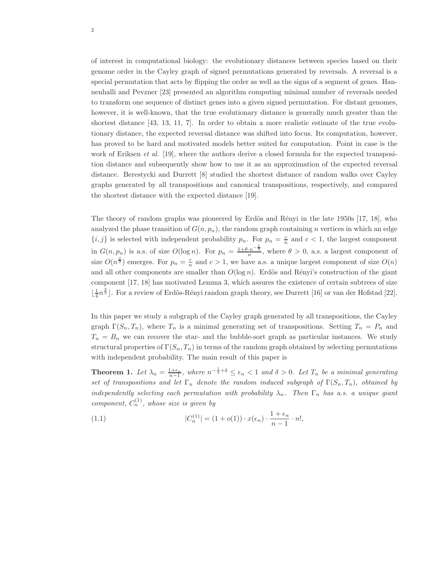of interest in computational biology: the evolutionary distances between species based on their genome order in the Cayley graph of signed permutations generated by reversals. A reversal is a special permutation that acts by flipping the order as well as the signs of a segment of genes. Hannenhalli and Pevzner [23] presented an algorithm computing minimal number of reversals needed to transform one sequence of distinct genes into a given signed permutation. For distant genomes, however, it is well-known, that the true evolutionary distance is generally much greater than the shortest distance [43, 13, 11, 7]. In order to obtain a more realistic estimate of the true evolutionary distance, the expected reversal distance was shifted into focus. Its computation, however, has proved to be hard and motivated models better suited for computation. Point in case is the work of Eriksen *et al.* [19], where the authors derive a closed formula for the expected transposition distance and subsequently show how to use it as an approximation of the expected reversal distance. Berestycki and Durrett [8] studied the shortest distance of random walks over Cayley graphs generated by all transpositions and canonical transpositions, respectively, and compared the shortest distance with the expected distance [19].

The theory of random graphs was pioneered by Erdös and Rényi in the late 1950s [17, 18], who analyzed the phase transition of  $G(n, p_n)$ , the random graph containing n vertices in which an edge  $\{i, j\}$  is selected with independent probability  $p_n$ . For  $p_n = \frac{c}{n}$  and  $c < 1$ , the largest component in  $G(n, p_n)$  is a.s. of size  $O(\log n)$ . For  $p_n = \frac{1+\theta \cdot n^{-\frac{1}{3}}}{n}$ , where  $\theta > 0$ , a.s. a largest component of size  $O(n^{\frac{2}{3}})$  emerges. For  $p_n = \frac{c}{n}$  and  $c > 1$ , we have a.s. a unique largest component of size  $O(n)$ and all other components are smaller than  $O(\log n)$ . Erdös and Rényi's construction of the giant component [17, 18] has motivated Lemma 3, which assures the existence of certain subtrees of size  $\lfloor \frac{1}{4}n^{\frac{2}{3}} \rfloor$ . For a review of Erdös-Rényi random graph theory, see Durrett [16] or van der Hofstad [22].

In this paper we study a subgraph of the Cayley graph generated by all transpositions, the Cayley graph  $\Gamma(S_n, T_n)$ , where  $T_n$  is a minimal generating set of transpositions. Setting  $T_n = P_n$  and  $T_n = B_n$  we can recover the star- and the bubble-sort graph as particular instances. We study structural properties of  $\Gamma(S_n, T_n)$  in terms of the random graph obtained by selecting permutations with independent probability. The main result of this paper is

**Theorem 1.** Let  $\lambda_n = \frac{1+\epsilon_n}{n-1}$ , where  $n^{-\frac{1}{3}+\delta} \leq \epsilon_n < 1$  and  $\delta > 0$ . Let  $T_n$  be a minimal generating set of transpositions and let  $\Gamma_n$  denote the random induced subgraph of  $\Gamma(S_n, T_n)$ , obtained by independently selecting each permutation with probability  $\lambda_n$ . Then  $\Gamma_n$  has a.s. a unique giant component,  $C_n^{(1)}$ , whose size is given by

(1.1) 
$$
|C_n^{(1)}| = (1 + o(1)) \cdot x(\epsilon_n) \cdot \frac{1 + \epsilon_n}{n - 1} \cdot n!,
$$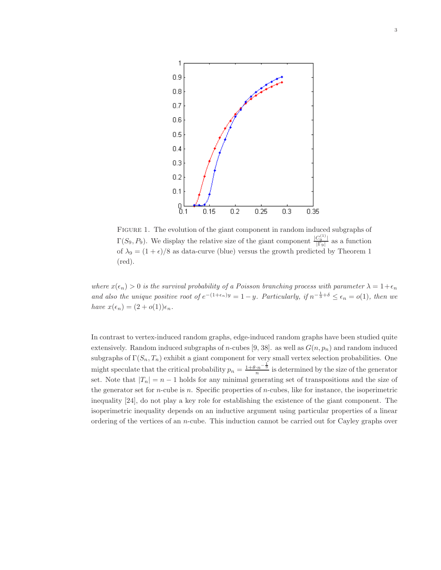

Figure 1. The evolution of the giant component in random induced subgraphs of  $\Gamma(S_9, P_9)$ . We display the relative size of the giant component  $\frac{|C_9^{(1)}|}{|\Gamma_9|}$  $\frac{C_9}{|\Gamma_9|}$  as a function of  $\lambda_9 = (1 + \epsilon)/8$  as data-curve (blue) versus the growth predicted by Theorem 1 (red).

where  $x(\epsilon_n) > 0$  is the survival probability of a Poisson branching process with parameter  $\lambda = 1 + \epsilon_n$ and also the unique positive root of  $e^{-(1+\epsilon_n)y} = 1-y$ . Particularly, if  $n^{-\frac{1}{3}+\delta} \leq \epsilon_n = o(1)$ , then we have  $x(\epsilon_n) = (2 + o(1))\epsilon_n$ .

In contrast to vertex-induced random graphs, edge-induced random graphs have been studied quite extensively. Random induced subgraphs of *n*-cubes [9, 38]. as well as  $G(n, p_n)$  and random induced subgraphs of  $\Gamma(S_n, T_n)$  exhibit a giant component for very small vertex selection probabilities. One might speculate that the critical probability  $p_n = \frac{1+\theta \cdot n^{-\frac{1}{3}}}{n}$  is determined by the size of the generator set. Note that  $|T_n| = n - 1$  holds for any minimal generating set of transpositions and the size of the generator set for *n*-cube is *n*. Specific properties of *n*-cubes, like for instance, the isoperimetric inequality [24], do not play a key role for establishing the existence of the giant component. The isoperimetric inequality depends on an inductive argument using particular properties of a linear ordering of the vertices of an n-cube. This induction cannot be carried out for Cayley graphs over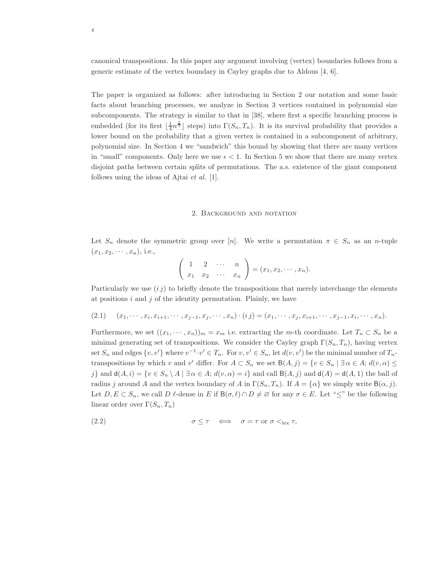canonical transpositions. In this paper any argument involving (vertex) boundaries follows from a generic estimate of the vertex boundary in Cayley graphs due to Aldous [4, 6].

The paper is organized as follows: after introducing in Section 2 our notation and some basic facts about branching processes, we analyze in Section 3 vertices contained in polynomial size subcomponents. The strategy is similar to that in [38], where first a specific branching process is embedded (for its first  $\lfloor \frac{1}{4}n^{\frac{2}{3}} \rfloor$  steps) into  $\Gamma(S_n, T_n)$ . It is its survival probability that provides a lower bound on the probability that a given vertex is contained in a subcomponent of arbitrary, polynomial size. In Section 4 we "sandwich" this bound by showing that there are many vertices in "small" components. Only here we use  $\epsilon < 1$ . In Section 5 we show that there are many vertex disjoint paths between certain splits of permutations. The a.s. existence of the giant component follows using the ideas of Ajtai et al. [1].

#### 2. Background and notation

Let  $S_n$  denote the symmetric group over [n]. We write a permutation  $\pi \in S_n$  as an n-tuple  $(x_1, x_2, \cdots, x_n)$ , i.e.,

$$
\left(\begin{array}{cccc} 1 & 2 & \cdots & n \\ x_1 & x_2 & \cdots & x_n \end{array}\right) = (x_1, x_2, \cdots, x_n).
$$

Particularly we use  $(i j)$  to briefly denote the transpositions that merely interchange the elements at positions  $i$  and  $j$  of the identity permutation. Plainly, we have

$$
(2.1) \quad (x_1, \cdots, x_i, x_{i+1}, \cdots, x_{j-1}, x_j, \cdots, x_n) \cdot (ij) = (x_1, \cdots, x_j, x_{i+1}, \cdots, x_{j-1}, x_i, \cdots, x_n).
$$

Furthermore, we set  $((x_1, \dots, x_n))_m = x_m$  i.e. extracting the m-th coordinate. Let  $T_n \subset S_n$  be a minimal generating set of transpositions. We consider the Cayley graph  $\Gamma(S_n, T_n)$ , having vertex set  $S_n$  and edges  $\{v, v'\}$  where  $v^{-1} \cdot v' \in T_n$ . For  $v, v' \in S_n$ , let  $d(v, v')$  be the minimal number of  $T_n$ transpositions by which v and v' differ. For  $A \subset S_n$  we set  $B(A, j) = \{v \in S_n \mid \exists \alpha \in A; d(v, \alpha) \leq$ j} and  $d(A, i) = \{v \in S_n \setminus A \mid \exists \alpha \in A; d(v, \alpha) = i\}$  and call  $B(A, j)$  and  $d(A) = d(A, 1)$  the ball of radius j around A and the vertex boundary of A in  $\Gamma(S_n, T_n)$ . If  $A = {\alpha}$  we simply write  $B(\alpha, j)$ . Let  $D, E \subset S_n$ , we call  $D \ell$ -dense in E if  $B(\sigma, \ell) \cap D \neq \emptyset$  for any  $\sigma \in E$ . Let " $\leq$ " be the following linear order over  $\Gamma(S_n, T_n)$ 

(2.2) 
$$
\sigma \leq \tau \iff \sigma = \tau \text{ or } \sigma <_{\text{lex}} \tau,
$$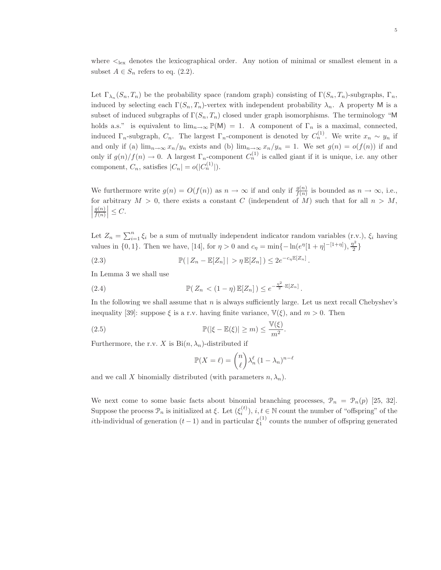where  $\lt_{\text{lex}}$  denotes the lexicographical order. Any notion of minimal or smallest element in a subset  $A \in S_n$  refers to eq. (2.2).

Let  $\Gamma_{\lambda_n}(S_n, T_n)$  be the probability space (random graph) consisting of  $\Gamma(S_n, T_n)$ -subgraphs,  $\Gamma_n$ , induced by selecting each  $\Gamma(S_n, T_n)$ -vertex with independent probability  $\lambda_n$ . A property M is a subset of induced subgraphs of  $\Gamma(S_n, T_n)$  closed under graph isomorphisms. The terminology "M holds a.s." is equivalent to  $\lim_{n\to\infty} \mathbb{P}(\mathsf{M}) = 1$ . A component of  $\Gamma_n$  is a maximal, connected, induced  $\Gamma_n$ -subgraph,  $C_n$ . The largest  $\Gamma_n$ -component is denoted by  $C_n^{(1)}$ . We write  $x_n \sim y_n$  if and only if (a)  $\lim_{n\to\infty}x_n/y_n$  exists and (b)  $\lim_{n\to\infty}x_n/y_n = 1$ . We set  $g(n) = o(f(n))$  if and only if  $g(n)/f(n) \to 0$ . A largest  $\Gamma_n$ -component  $C_n^{(1)}$  is called giant if it is unique, i.e. any other component,  $C_n$ , satisfies  $|C_n| = o(|C_n^{(1)}|)$ .

We furthermore write  $g(n) = O(f(n))$  as  $n \to \infty$  if and only if  $\frac{g(n)}{f(n)}$  is bounded as  $n \to \infty$ , i.e., for arbitrary  $M > 0$ , there exists a constant C (independent of M) such that for all  $n > M$ ,  $g(n)$  $\left|\frac{g(n)}{f(n)}\right| \leq C.$ 

Let  $Z_n = \sum_{i=1}^n \xi_i$  be a sum of mutually independent indicator random variables (r.v.),  $\xi_i$  having values in {0, 1}. Then we have, [14], for  $\eta > 0$  and  $c_{\eta} = \min\{-\ln(e^{\eta}[1 + \eta]^{-1+\eta}], \frac{\eta^2}{2}\}$  $\frac{1}{2}$ 

.

.

(2.3) 
$$
\mathbb{P}(|Z_n - \mathbb{E}[Z_n]| > \eta \mathbb{E}[Z_n]) \le 2e^{-c_\eta \mathbb{E}[Z_n]}
$$

In Lemma 3 we shall use

$$
\mathbb{P}(Z_n < (1-\eta)\,\mathbb{E}[Z_n]) \leq e^{-\frac{\eta^2}{2}\cdot \mathbb{E}[Z_n]}
$$

In the following we shall assume that  $n$  is always sufficiently large. Let us next recall Chebyshev's inequality [39]: suppose  $\xi$  is a r.v. having finite variance,  $\mathbb{V}(\xi)$ , and  $m > 0$ . Then

(2.5) 
$$
\mathbb{P}(|\xi - \mathbb{E}(\xi)| \geq m) \leq \frac{\mathbb{V}(\xi)}{m^2}.
$$

Furthermore, the r.v. X is  $\text{Bi}(n, \lambda_n)$ -distributed if

$$
\mathbb{P}(X=\ell) = \binom{n}{\ell} \lambda_n^{\ell} (1 - \lambda_n)^{n-\ell}
$$

and we call X binomially distributed (with parameters  $n, \lambda_n$ ).

We next come to some basic facts about binomial branching processes,  $\mathcal{P}_n = \mathcal{P}_n(p)$  [25, 32]. Suppose the process  $\mathcal{P}_n$  is initialized at  $\xi$ . Let  $(\xi_i^{(t)})$  $i^{(t)}$ ,  $i, t \in \mathbb{N}$  count the number of "offspring" of the *i*th-individual of generation  $(t-1)$  and in particular  $\xi_1^{(1)}$  counts the number of offspring generated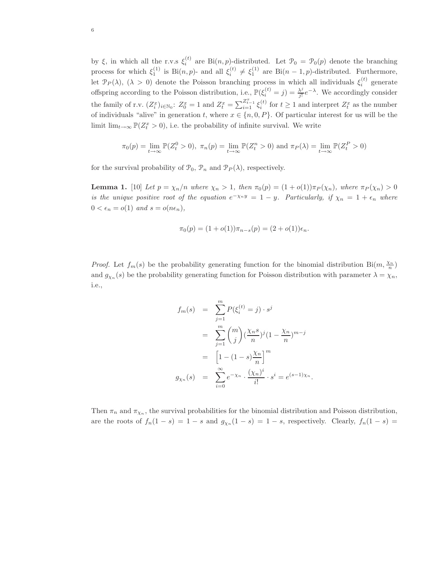by  $\xi$ , in which all the r.v.s  $\xi_i^{(t)}$  are Bi $(n, p)$ -distributed. Let  $\mathcal{P}_0 = \mathcal{P}_0(p)$  denote the branching process for which  $\xi_1^{(1)}$  is Bi $(n, p)$ - and all  $\xi_i^{(t)} \neq \xi_1^{(1)}$  are Bi $(n-1, p)$ -distributed. Furthermore, let  $\mathcal{P}_P(\lambda)$ ,  $(\lambda > 0)$  denote the Poisson branching process in which all individuals  $\xi_i^{(t)}$  generate offspring according to the Poisson distribution, i.e.,  $\mathbb{P}(\xi_i^{(t)}=j) = \frac{\lambda^j}{j!}$  $\frac{\lambda^j}{j!}e^{-\lambda}$ . We accordingly consider the family of r.v.  $(Z_i^x)_{i \in \mathbb{N}_0}$ :  $Z_0^x = 1$  and  $Z_t^x = \sum_{i=1}^{Z_{t-1}^x} \xi_i^{(t)}$  for  $t \ge 1$  and interpret  $Z_t^x$  as the number of individuals "alive" in generation t, where  $x \in \{n, 0, P\}$ . Of particular interest for us will be the limit  $\lim_{t\to\infty} \mathbb{P}(Z_t^x > 0)$ , i.e. the probability of infinite survival. We write

$$
\pi_0(p) = \lim_{t \to \infty} \mathbb{P}(Z_t^0 > 0), \ \pi_n(p) = \lim_{t \to \infty} \mathbb{P}(Z_t^n > 0) \text{ and } \pi_P(\lambda) = \lim_{t \to \infty} \mathbb{P}(Z_t^P > 0)
$$

for the survival probability of  $\mathcal{P}_0$ ,  $\mathcal{P}_n$  and  $\mathcal{P}_P(\lambda)$ , respectively.

**Lemma 1.** [10] Let  $p = \chi_n/n$  where  $\chi_n > 1$ , then  $\pi_0(p) = (1 + o(1))\pi_P(\chi_n)$ , where  $\pi_P(\chi_n) > 0$ is the unique positive root of the equation  $e^{-\chi_n y} = 1 - y$ . Particularly, if  $\chi_n = 1 + \epsilon_n$  where  $0 < \epsilon_n = o(1)$  and  $s = o(n\epsilon_n)$ ,

$$
\pi_0(p) = (1 + o(1))\pi_{n-s}(p) = (2 + o(1))\epsilon_n.
$$

*Proof.* Let  $f_m(s)$  be the probability generating function for the binomial distribution Bi $(m, \frac{\chi_n}{n})$ and  $g_{\chi_n}(s)$  be the probability generating function for Poisson distribution with parameter  $\lambda = \chi_n$ , i.e.,

$$
f_m(s) = \sum_{j=1}^m P(\xi_i^{(t)} = j) \cdot s^j
$$
  
= 
$$
\sum_{j=1}^m {m \choose j} (\frac{\chi_n s}{n})^j (1 - \frac{\chi_n}{n})^{m-j}
$$
  
= 
$$
\left[1 - (1 - s)\frac{\chi_n}{n}\right]^m
$$
  

$$
g_{\chi_n}(s) = \sum_{i=0}^\infty e^{-\chi_n} \cdot \frac{(\chi_n)^i}{i!} \cdot s^i = e^{(s-1)\chi_n}.
$$

Then  $\pi_n$  and  $\pi_{\chi_n}$ , the survival probabilities for the binomial distribution and Poisson distribution, are the roots of  $f_n(1-s) = 1-s$  and  $g_{\chi_n}(1-s) = 1-s$ , respectively. Clearly,  $f_n(1-s) =$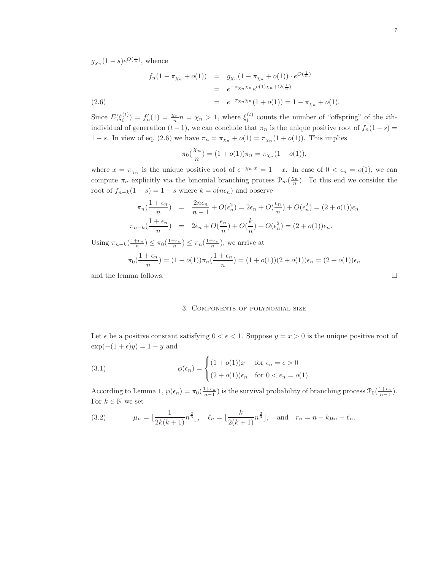$g_{\chi_n}(1-s)e^{O(\frac{1}{n})}$ , whence

$$
f_n(1 - \pi_{\chi_n} + o(1)) = g_{\chi_n}(1 - \pi_{\chi_n} + o(1)) \cdot e^{O(\frac{1}{n})}
$$
  
=  $e^{-\pi_{\chi_n} \chi_n} e^{o(1)\chi_n + O(\frac{1}{n})}$   
=  $e^{-\pi_{\chi_n} \chi_n} (1 + o(1)) = 1 - \pi_{\chi_n} + o(1).$ 

Since  $E(\xi_i^{(t)})$  $f'_{i}(t) = f'_{n}(1) = \frac{\chi_{n}}{n} n = \chi_{n} > 1$ , where  $\xi_{i}^{(t)}$  $i^{(i)}$  counts the number of "offspring" of the *i*thindividual of generation  $(t-1)$ , we can conclude that  $\pi_n$  is the unique positive root of  $f_n(1-s)$ 1 − s. In view of eq. (2.6) we have  $\pi_n = \pi_{\chi_n} + o(1) = \pi_{\chi_n}(1 + o(1))$ . This implies

$$
\pi_0(\frac{\chi_n}{n}) = (1 + o(1))\pi_n = \pi_{\chi_n}(1 + o(1)),
$$

where  $x = \pi_{\chi_n}$  is the unique positive root of  $e^{-\chi_n \cdot x} = 1 - x$ . In case of  $0 < \epsilon_n = o(1)$ , we can compute  $\pi_n$  explicitly via the binomial branching process  $\mathcal{P}_m(\frac{\chi_n}{n})$ . To this end we consider the root of  $f_{n-k}(1-s) = 1-s$  where  $k = o(n\epsilon_n)$  and observe

$$
\pi_n(\frac{1+\epsilon_n}{n}) = \frac{2n\epsilon_n}{n-1} + O(\epsilon_n^2) = 2\epsilon_n + O(\frac{\epsilon_n}{n}) + O(\epsilon_n^2) = (2+o(1))\epsilon_n
$$
  

$$
\pi_{n-k}(\frac{1+\epsilon_n}{n}) = 2\epsilon_n + O(\frac{\epsilon_n}{n}) + O(\frac{k}{n}) + O(\epsilon_n^2) = (2+o(1))\epsilon_n.
$$

Using  $\pi_{n-k}(\frac{1+\epsilon_n}{n}) \leq \pi_0(\frac{1+\epsilon_n}{n}) \leq \pi_n(\frac{1+\epsilon_n}{n})$ , we arrive at

$$
\pi_0(\frac{1+\epsilon_n}{n}) = (1+o(1))\pi_n(\frac{1+\epsilon_n}{n}) = (1+o(1))(2+o(1))\epsilon_n = (2+o(1))\epsilon_n
$$

and the lemma follows.  $\Box$ 

## 3. Components of polynomial size

Let  $\epsilon$  be a positive constant satisfying  $0 < \epsilon < 1$ . Suppose  $y = x > 0$  is the unique positive root of  $\exp(-(1+\epsilon)y) = 1 - y$  and

(3.1) 
$$
\wp(\epsilon_n) = \begin{cases} (1 + o(1))x & \text{for } \epsilon_n = \epsilon > 0 \\ (2 + o(1))\epsilon_n & \text{for } 0 < \epsilon_n = o(1). \end{cases}
$$

According to Lemma 1,  $\wp(\epsilon_n) = \pi_0(\frac{1+\epsilon_n}{n-1})$  is the survival probability of branching process  $\mathcal{P}_0(\frac{1+\epsilon_n}{n-1})$ . For  $k\in\mathbb{N}$  we set

(3.2) 
$$
\mu_n = \lfloor \frac{1}{2k(k+1)} n^{\frac{2}{3}} \rfloor, \quad \ell_n = \lfloor \frac{k}{2(k+1)} n^{\frac{2}{3}} \rfloor, \quad \text{and} \quad r_n = n - k\mu_n - \ell_n.
$$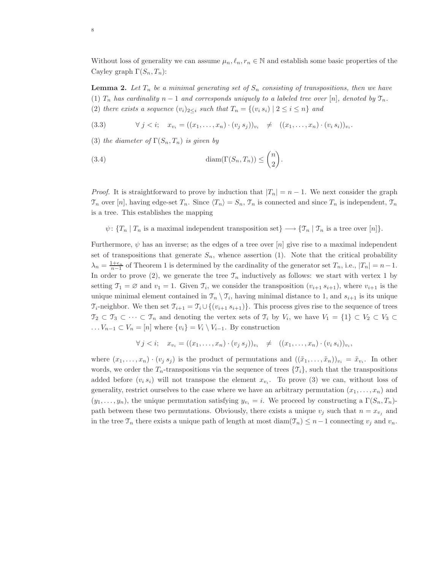Without loss of generality we can assume  $\mu_n, \ell_n, r_n \in \mathbb{N}$  and establish some basic properties of the Cayley graph  $\Gamma(S_n, T_n)$ :

**Lemma 2.** Let  $T_n$  be a minimal generating set of  $S_n$  consisting of transpositions, then we have (1)  $T_n$  has cardinality  $n-1$  and corresponds uniquely to a labeled tree over [n], denoted by  $\mathfrak{T}_n$ . (2) there exists a sequence  $(v_i)_{i\leq i}$  such that  $T_n = \{(v_i, s_i) \mid 2 \leq i \leq n\}$  and

(3.3) 
$$
\forall j < i; \quad x_{v_i} = ((x_1, \ldots, x_n) \cdot (v_j \, s_j))_{v_i} \neq ((x_1, \ldots, x_n) \cdot (v_i \, s_i))_{v_i}.
$$

(3) the diameter of  $\Gamma(S_n, T_n)$  is given by

(3.4) 
$$
\text{diam}(\Gamma(S_n, T_n)) \leq \binom{n}{2}.
$$

*Proof.* It is straightforward to prove by induction that  $|T_n| = n - 1$ . We next consider the graph  $\mathcal{T}_n$  over [n], having edge-set  $T_n$ . Since  $\langle T_n \rangle = S_n$ ,  $\mathcal{T}_n$  is connected and since  $T_n$  is independent,  $\mathcal{T}_n$ is a tree. This establishes the mapping

 $\psi: \{T_n | T_n \text{ is a maximal independent transposition set}\} \longrightarrow \{\mathfrak{T}_n | \mathfrak{T}_n \text{ is a tree over } [n]\}.$ 

Furthermore,  $\psi$  has an inverse; as the edges of a tree over [n] give rise to a maximal independent set of transpositions that generate  $S_n$ , whence assertion (1). Note that the critical probability  $\lambda_n = \frac{1+\epsilon_n}{n-1}$  of Theorem 1 is determined by the cardinality of the generator set  $T_n$ , i.e.,  $|T_n| = n-1$ . In order to prove (2), we generate the tree  $\mathcal{T}_n$  inductively as follows: we start with vertex 1 by setting  $\mathfrak{T}_1 = \emptyset$  and  $v_1 = 1$ . Given  $\mathfrak{T}_i$ , we consider the transposition  $(v_{i+1} s_{i+1})$ , where  $v_{i+1}$  is the unique minimal element contained in  $\mathcal{T}_n \setminus \mathcal{T}_i$ , having minimal distance to 1, and  $s_{i+1}$  is its unique  $\mathcal{T}_{i}$ -neighbor. We then set  $\mathcal{T}_{i+1} = \mathcal{T}_{i} \cup \{(v_{i+1} s_{i+1})\}$ . This process gives rise to the sequence of trees  $\mathcal{T}_2 \subset \mathcal{T}_3 \subset \cdots \subset \mathcal{T}_n$  and denoting the vertex sets of  $\mathcal{T}_i$  by  $V_i$ , we have  $V_1 = \{1\} \subset V_2 \subset V_3 \subset$  $\ldots V_{n-1} \subset V_n = [n]$  where  $\{v_i\} = V_i \setminus V_{i-1}$ . By construction

$$
\forall j < i; \quad x_{v_i} = ((x_1, \ldots, x_n) \cdot (v_j \, s_j))_{v_i} \neq ((x_1, \ldots, x_n) \cdot (v_i \, s_i))_{v_i},
$$

where  $(x_1, \ldots, x_n) \cdot (v_j s_j)$  is the product of permutations and  $((\tilde{x}_1, \ldots, \tilde{x}_n))_{v_i} = \tilde{x}_{v_i}$ . In other words, we order the  $T_n$ -transpositions via the sequence of trees  $\{\mathcal{T}_i\}$ , such that the transpositions added before  $(v_i s_i)$  will not transpose the element  $x_{v_i}$ . To prove (3) we can, without loss of generality, restrict ourselves to the case where we have an arbitrary permutation  $(x_1, \ldots, x_n)$  and  $(y_1, \ldots, y_n)$ , the unique permutation satisfying  $y_{v_i} = i$ . We proceed by constructing a  $\Gamma(S_n, T_n)$ path between these two permutations. Obviously, there exists a unique  $v_j$  such that  $n = x_{v_j}$  and in the tree  $\mathfrak{T}_n$  there exists a unique path of length at most diam( $\mathfrak{T}_n$ ) ≤ n - 1 connecting  $v_j$  and  $v_n$ .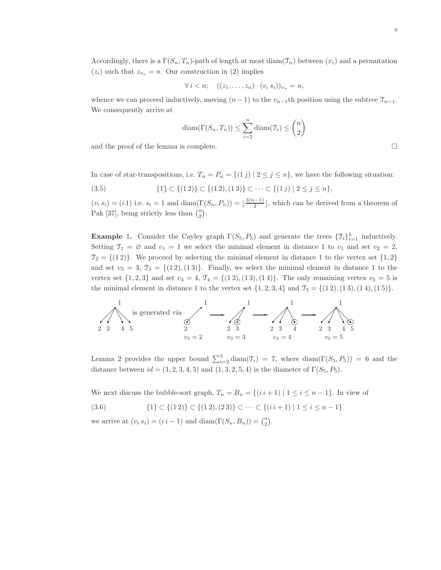$$
\forall i < n; \quad ((z_1, \ldots, z_n) \cdot (v_i \, s_i))_{v_n} = n,
$$

whence we can proceed inductively, moving  $(n-1)$  to the  $v_{n-1}$ th position using the subtree  $\mathcal{T}_{n-1}$ . We consequently arrive at

$$
diam(\Gamma(S_n, T_n)) \le \sum_{i=2}^n diam(\mathfrak{T}_i) \le \binom{n}{2}
$$

and the proof of the lemma is complete.  $\Box$ 

In case of star-transpositions, i.e.  $T_n = P_n = \{(1j) | 2 \leq j \leq n\}$ , we have the following situation:

(3.5) 
$$
\{1\} \subset \{(1\ 2)\} \subset \{(1\ 2), (1\ 3)\} \subset \cdots \subset \{(1\ j) \mid 2 \le j \le n\},\
$$

 $(v_i s_i) = (i 1)$  i.e.  $s_i = 1$  and  $\text{diam}(\Gamma(S_n, P_n)) = \lfloor \frac{3(n-1)}{2} \rfloor$  $\frac{2^{(2-1)}}{2}$ , which can be derived from a theorem of Pak [37], being strictly less than  $\binom{n}{2}$ .

**Example 1.** Consider the Cayley graph  $\Gamma(S_5, P_5)$  and generate the trees  $\{\mathcal{T}_i\}_{i=1}^5$  inductively. Setting  $\mathfrak{T}_1 = \emptyset$  and  $v_1 = 1$  we select the minimal element in distance 1 to  $v_1$  and set  $v_2 = 2$ ,  $\mathcal{T}_2 = \{(1\,2)\}.$  We proceed by selecting the minimal element in distance 1 to the vertex set  $\{1,2\}$ and set  $v_3 = 3$ ,  $\mathcal{T}_3 = \{(1\,2), (1\,3)\}\.$  Finally, we select the minimal element in distance 1 to the vertex set  $\{1, 2, 3\}$  and set  $v_4 = 4$ ,  $\mathcal{T}_4 = \{(1\,2), (1\,3), (1\,4)\}.$  The only remaining vertex  $v_5 = 5$  is the minimal element in distance 1 to the vertex set  $\{1, 2, 3, 4\}$  and  $\mathcal{T}_5 = \{(1\,2), (1\,3), (1\,4), (1\,5)\}.$ 



Lemma 2 provides the upper bound  $\sum_{i=2}^{5} \text{diam}(\mathcal{T}_i) = 7$ , where  $\text{diam}(\Gamma(S_5, P_5)) = 6$  and the distance between  $id = (1, 2, 3, 4, 5)$  and  $(1, 3, 2, 5, 4)$  is the diameter of  $\Gamma(S_5, P_5)$ .

We next discuss the bubble-sort graph,  $T_n = B_n = \{(i \, i+1) \mid 1 \leq i \leq n-1\}$ . In view of

$$
(3.6) \qquad \{1\} \subset \{(1\ 2)\} \subset \{(1\ 2), (2\ 3)\} \subset \cdots \subset \{(i\ i+1)\ | \ 1 \le i \le n-1\}
$$

we arrive at  $(v_i s_i) = (i i - 1)$  and  $\text{diam}(\Gamma(S_n, B_n)) = \binom{n}{2}$ .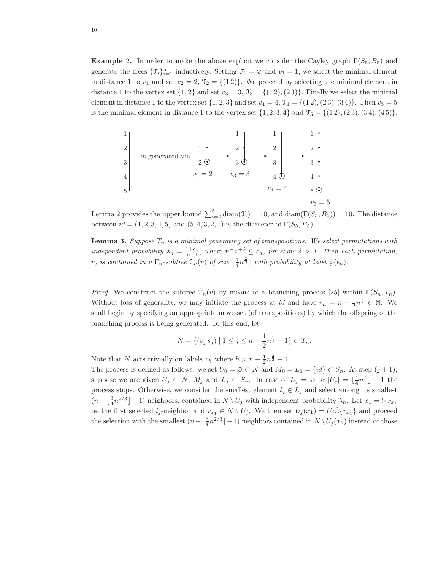**Example 2.** In order to make the above explicit we consider the Cayley graph  $\Gamma(S_5, B_5)$  and generate the trees  $\{\mathcal{T}_i\}_{i=1}^5$  inductively. Setting  $\mathcal{T}_1 = \emptyset$  and  $v_1 = 1$ , we select the minimal element in distance 1 to  $v_1$  and set  $v_2 = 2$ ,  $\mathcal{T}_2 = \{(1\,2)\}\.$  We proceed by selecting the minimal element in distance 1 to the vertex set  $\{1,2\}$  and set  $v_3 = 3$ ,  $\mathcal{T}_3 = \{(1\,2), (2\,3)\}\.$  Finally we select the minimal element in distance 1 to the vertex set  $\{1, 2, 3\}$  and set  $v_4 = 4$ ,  $\mathcal{T}_4 = \{(1\ 2), (2\ 3), (3\ 4)\}$ . Then  $v_5 = 5$ is the minimal element in distance 1 to the vertex set  $\{1, 2, 3, 4\}$  and  $\mathcal{T}_5 = \{(1\,2), (2\,3), (3\,4), (4\,5)\}.$ 

$$
\begin{array}{c|c|c}\n1 \\
2 \\
3 \\
3 \\
4 \\
5\n\end{array}\n\text{ is generated via } \begin{array}{c|c}\n1 \\
1 \\
2 & 0 \\
2 & 3\n\end{array}\n\begin{array}{c|c}\n1 \\
2 \\
3 & 0 \\
3 & 4\n\end{array}\n\begin{array}{c|c}\n1 \\
2 \\
3 \\
4 \\
4\n\end{array}\n\begin{array}{c|c}\n1 \\
2 \\
3 \\
4\n\end{array}\n\begin{array}{c|c}\n1 \\
2 \\
3 \\
4\n\end{array}\n\begin{array}{c|c}\n1 \\
2 \\
3 \\
4\n\end{array}\n\begin{array}{c|c}\n1 \\
2 \\
3 \\
5\n\end{array}\n\begin{array}{c|c}\n1 \\
2 \\
3 \\
4\n\end{array}\n\begin{array}{c|c}\n1 \\
2 \\
3 \\
5\n\end{array}\n\begin{array}{c|c}\n1 \\
2 \\
3 \\
4\n\end{array}\n\begin{array}{c|c}\n2 \\
3 \\
4\n\end{array}\n\begin{array}{c|c}\n1 \\
2 \\
5\n\end{array}\n\begin{array}{c|c}\n2 \\
3 \\
5\n\end{array}\n\end{array}
$$

Lemma 2 provides the upper bound  $\sum_{i=2}^{5} \text{diam}(\mathcal{T}_i) = 10$ , and  $\text{diam}(\Gamma(S_5, B_5)) = 10$ . The distance between  $id = (1, 2, 3, 4, 5)$  and  $(5, 4, 3, 2, 1)$  is the diameter of  $\Gamma(S_5, B_5)$ .

**Lemma 3.** Suppose  $T_n$  is a minimal generating set of transpositions. We select permutations with independent probability  $\lambda_n = \frac{1+\epsilon_n}{n-1}$ , where  $n^{-\frac{1}{3}+\delta} \leq \epsilon_n$ , for some  $\delta > 0$ . Then each permutation, v, is contained in a  $\Gamma_n$ -subtree  $\mathcal{T}_n(v)$  of size  $\lfloor \frac{1}{4}n^{\frac{2}{3}} \rfloor$  with probability at least  $\wp(\epsilon_n)$ .

*Proof.* We construct the subtree  $\mathcal{T}_n(v)$  by means of a branching process [25] within  $\Gamma(S_n, T_n)$ . Without loss of generality, we may initiate the process at id and have  $r_n = n - \frac{1}{2}n^{\frac{2}{3}} \in \mathbb{N}$ . We shall begin by specifying an appropriate move-set (of transpositions) by which the offspring of the branching process is being generated. To this end, let

$$
N = \{(v_j \, s_j) \mid 1 \le j \le n - \frac{1}{2}n^{\frac{2}{3}} - 1\} \subset T_n.
$$

Note that N acts trivially on labels  $v_h$  where  $h > n - \frac{1}{2}n^{\frac{2}{3}} - 1$ .

The process is defined as follows: we set  $U_0 = \emptyset \subset N$  and  $M_0 = L_0 = \{id\} \subset S_n$ . At step  $(j + 1)$ , suppose we are given  $U_j \subset N$ ,  $M_j$  and  $L_j \subset S_n$ . In case of  $L_j = \emptyset$  or  $|U_j| = \lfloor \frac{1}{4}n^{\frac{2}{3}} \rfloor - 1$  the process stops. Otherwise, we consider the smallest element  $l_j \in L_j$  and select among its smallest  $(n - \lfloor \frac{3}{4}n^{2/3} \rfloor - 1)$  neighbors, contained in  $N \setminus U_j$  with independent probability  $\lambda_n$ . Let  $x_1 = l_j r_{x_1}$ be the first selected  $l_j$ -neighbor and  $r_{x_1} \in N \setminus U_j$ . We then set  $U_j(x_1) = U_j \dot{\cup} \{r_{x_1}\}\$ and proceed the selection with the smallest  $(n - \lfloor \frac{3}{4}n^{2/3} \rfloor - 1)$  neighbors contained in  $N \setminus U_j(x_1)$  instead of those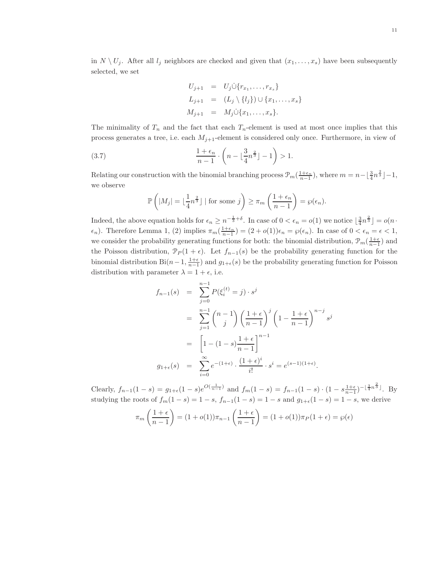in  $N \setminus U_i$ . After all  $l_i$  neighbors are checked and given that  $(x_1, \ldots, x_s)$  have been subsequently selected, we set

$$
U_{j+1} = U_j \cup \{r_{x_1}, \dots, r_{x_s}\}
$$
  
\n
$$
L_{j+1} = (L_j \setminus \{l_j\}) \cup \{x_1, \dots, x_s\}
$$
  
\n
$$
M_{j+1} = M_j \cup \{x_1, \dots, x_s\}.
$$

The minimality of  $T_n$  and the fact that each  $T_n$ -element is used at most once implies that this process generates a tree, i.e. each  $M_{j+1}$ -element is considered only once. Furthermore, in view of

(3.7) 
$$
\frac{1+\epsilon_n}{n-1} \cdot \left(n - \lfloor \frac{3}{4}n^{\frac{2}{3}} \rfloor - 1\right) > 1.
$$

Relating our construction with the binomial branching process  $\mathcal{P}_m(\frac{1+\epsilon_n}{n-1})$ , where  $m=n-\lfloor \frac{3}{4}n^{\frac{2}{3}} \rfloor-1$ , we observe

$$
\mathbb{P}\left(|M_j| = \lfloor \frac{1}{4}n^{\frac{2}{3}} \rfloor \mid \text{for some } j \right) \ge \pi_m \left(\frac{1+\epsilon_n}{n-1}\right) = \wp(\epsilon_n).
$$

Indeed, the above equation holds for  $\epsilon_n \geq n^{-\frac{1}{3}+\delta}$ . In case of  $0 < \epsilon_n = o(1)$  we notice  $\lfloor \frac{3}{4}n^{\frac{2}{3}} \rfloor = o(n \cdot$  $\epsilon_n$ ). Therefore Lemma 1, (2) implies  $\pi_m(\frac{1+\epsilon_n}{n-1}) = (2+o(1))\epsilon_n = \wp(\epsilon_n)$ . In case of  $0 < \epsilon_n = \epsilon < 1$ , we consider the probability generating functions for both: the binomial distribution,  $\mathcal{P}_m(\frac{1+\epsilon}{n-1})$  and the Poisson distribution,  $\mathcal{P}_P(1+\epsilon)$ . Let  $f_{n-1}(s)$  be the probability generating function for the binomial distribution Bi $(n-1, \frac{1+\epsilon}{n-1})$  and  $g_{1+\epsilon}(s)$  be the probability generating function for Poisson distribution with parameter  $\lambda = 1 + \epsilon$ , i.e.

$$
f_{n-1}(s) = \sum_{j=0}^{n-1} P(\xi_i^{(t)} = j) \cdot s^j
$$
  
= 
$$
\sum_{j=1}^{n-1} {n-1 \choose j} \left(\frac{1+\epsilon}{n-1}\right)^j \left(1 - \frac{1+\epsilon}{n-1}\right)^{n-j} s^j
$$
  
= 
$$
\left[1 - (1-s)\frac{1+\epsilon}{n-1}\right]^{n-1}
$$
  

$$
g_{1+\epsilon}(s) = \sum_{i=0}^{\infty} e^{-(1+\epsilon)} \cdot \frac{(1+\epsilon)^i}{i!} \cdot s^i = e^{(s-1)(1+\epsilon)}.
$$

Clearly,  $f_{n-1}(1-s) = g_{1+\epsilon}(1-s)e^{O(\frac{1}{n-1})}$  and  $f_m(1-s) = f_{n-1}(1-s) \cdot (1-s)\frac{1+\epsilon}{n-1}e^{-\frac{3}{4}n^{\frac{2}{3}}}}$ . By studying the roots of  $f_m(1-s) = 1-s$ ,  $f_{n-1}(1-s) = 1-s$  and  $g_{1+\epsilon}(1-s) = 1-s$ , we derive

$$
\pi_m\left(\frac{1+\epsilon}{n-1}\right) = (1+o(1))\pi_{n-1}\left(\frac{1+\epsilon}{n-1}\right) = (1+o(1))\pi_P(1+\epsilon) = \wp(\epsilon)
$$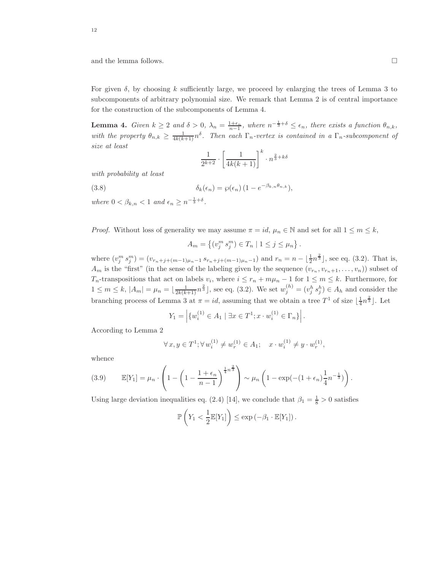and the lemma follows.

For given  $\delta$ , by choosing k sufficiently large, we proceed by enlarging the trees of Lemma 3 to subcomponents of arbitrary polynomial size. We remark that Lemma 2 is of central importance for the construction of the subcomponents of Lemma 4.

**Lemma 4.** Given  $k \ge 2$  and  $\delta > 0$ ,  $\lambda_n = \frac{1+\epsilon_n}{n-1}$ , where  $n^{-\frac{1}{3}+\delta} \le \epsilon_n$ , there exists a function  $\theta_{n,k}$ , with the property  $\theta_{n,k} \geq \frac{1}{4k(k+1)} n^{\delta}$ . Then each  $\Gamma_n$ -vertex is contained in a  $\Gamma_n$ -subcomponent of size at least

$$
\frac{1}{2^{k+2}} \cdot \left[ \frac{1}{4k(k+1)} \right]^k \cdot n^{\frac{2}{3} + k\delta}
$$

with probability at least

(3.8) 
$$
\delta_k(\epsilon_n) = \wp(\epsilon_n) (1 - e^{-\beta_{k,n}\theta_{n,k}}),
$$

where  $0 < \beta_{k,n} < 1$  and  $\epsilon_n \geq n^{-\frac{1}{3} + \delta}$ .

*Proof.* Without loss of generality we may assume  $\pi = id$ ,  $\mu_n \in \mathbb{N}$  and set for all  $1 \leq m \leq k$ ,

$$
A_m = \{(v_j^m s_j^m) \in T_n \mid 1 \le j \le \mu_n \}.
$$

where  $(v_j^m s_j^m) = (v_{r_n+j+(m-1)\mu_n-1} s_{r_n+j+(m-1)\mu_n-1})$  and  $r_n = n - \lfloor \frac{1}{2}n^{\frac{2}{3}} \rfloor$ , see eq. (3.2). That is,  $A_m$  is the "first" (in the sense of the labeling given by the sequence  $(v_{r_n}, v_{r_n+1}, \ldots, v_n)$ ) subset of  $T_n$ -transpositions that act on labels  $v_i$ , where  $i \leq r_n + m\mu_n - 1$  for  $1 \leq m \leq k$ . Furthermore, for  $1 \leq m \leq k, |A_m| = \mu_n = \lfloor \frac{1}{2k(k+1)} n^{\frac{2}{3}} \rfloor$ , see eq. (3.2). We set  $w_j^{(h)} = (v_j^h s_j^h) \in A_h$  and consider the branching process of Lemma 3 at  $\pi = id$ , assuming that we obtain a tree  $T^1$  of size  $\lfloor \frac{1}{4}n^{\frac{2}{3}} \rfloor$ . Let

$$
Y_1 = \left| \{ w_i^{(1)} \in A_1 \mid \exists x \in T^1; x \cdot w_i^{(1)} \in \Gamma_n \} \right|.
$$

According to Lemma 2

$$
\forall x, y \in T^1; \forall w_i^{(1)} \neq w_r^{(1)} \in A_1; \quad x \cdot w_i^{(1)} \neq y \cdot w_r^{(1)},
$$

whence

(3.9) 
$$
\mathbb{E}[Y_1] = \mu_n \cdot \left(1 - \left(1 - \frac{1 + \epsilon_n}{n - 1}\right)^{\frac{1}{4}n^{\frac{2}{3}}}\right) \sim \mu_n \left(1 - \exp(-(1 + \epsilon_n)\frac{1}{4}n^{-\frac{1}{3}})\right).
$$

Using large deviation inequalities eq. (2.4) [14], we conclude that  $\beta_1 = \frac{1}{8} > 0$  satisfies

$$
\mathbb{P}\left(Y_1 < \frac{1}{2}\mathbb{E}[Y_1]\right) \le \exp\left(-\beta_1 \cdot \mathbb{E}[Y_1]\right).
$$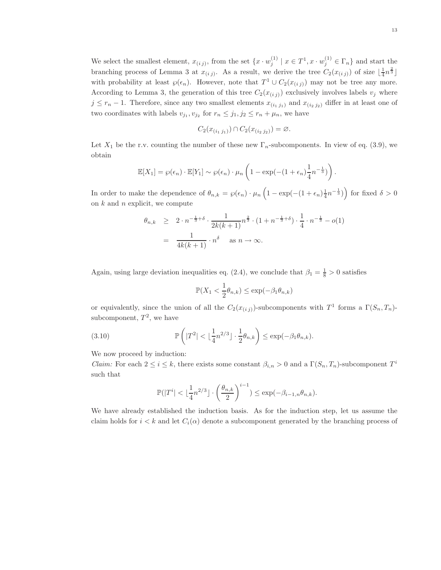We select the smallest element,  $x_{(ij)}$ , from the set  $\{x \cdot w_j^{(1)} \mid x \in T^1, x \cdot w_j^{(1)} \in \Gamma_n\}$  and start the branching process of Lemma 3 at  $x_{(ij)}$ . As a result, we derive the tree  $C_2(x_{(ij)})$  of size  $\lfloor \frac{1}{4}n^{\frac{2}{3}} \rfloor$ with probability at least  $\wp(\epsilon_n)$ . However, note that  $T^1 \cup C_2(x_{(ij)})$  may not be tree any more. According to Lemma 3, the generation of this tree  $C_2(x_{(i j)})$  exclusively involves labels  $v_j$  where  $j \leq r_n - 1$ . Therefore, since any two smallest elements  $x_{(i_1,j_1)}$  and  $x_{(i_2,j_2)}$  differ in at least one of two coordinates with labels  $v_{j_1}, v_{j_2}$  for  $r_n \leq j_1, j_2 \leq r_n + \mu_n$ , we have

$$
C_2(x_{(i_1 j_1)}) \cap C_2(x_{(i_2 j_2)}) = \emptyset.
$$

Let  $X_1$  be the r.v. counting the number of these new  $\Gamma_n$ -subcomponents. In view of eq. (3.9), we obtain

$$
\mathbb{E}[X_1] = \wp(\epsilon_n) \cdot \mathbb{E}[Y_1] \sim \wp(\epsilon_n) \cdot \mu_n \left(1 - \exp(-(1 + \epsilon_n) \frac{1}{4} n^{-\frac{1}{3}})\right).
$$

In order to make the dependence of  $\theta_{n,k} = \wp(\epsilon_n) \cdot \mu_n \left(1 - \exp(-(1 + \epsilon_n) \frac{1}{4} n^{-\frac{1}{3}})\right)$  for fixed  $\delta > 0$ on  $k$  and  $n$  explicit, we compute

$$
\theta_{n,k} \geq 2 \cdot n^{-\frac{1}{3} + \delta} \cdot \frac{1}{2k(k+1)} n^{\frac{2}{3}} \cdot (1 + n^{-\frac{1}{3} + \delta}) \cdot \frac{1}{4} \cdot n^{-\frac{1}{3}} - o(1)
$$

$$
= \frac{1}{4k(k+1)} \cdot n^{\delta} \quad \text{as } n \to \infty.
$$

Again, using large deviation inequalities eq. (2.4), we conclude that  $\beta_1 = \frac{1}{8} > 0$  satisfies

$$
\mathbb{P}(X_1 < \frac{1}{2}\theta_{n,k}) \le \exp(-\beta_1 \theta_{n,k})
$$

or equivalently, since the union of all the  $C_2(x_{(i,j)})$ -subcomponents with  $T^1$  forms a  $\Gamma(S_n, T_n)$ subcomponent,  $T^2$ , we have

(3.10) 
$$
\mathbb{P}\left(|T^2| < \lfloor\frac{1}{4}n^{2/3}\rfloor \cdot \frac{1}{2}\theta_{n,k}\right) \leq \exp(-\beta_1\theta_{n,k}).
$$

We now proceed by induction:

*Claim:* For each  $2 \le i \le k$ , there exists some constant  $\beta_{i,n} > 0$  and a  $\Gamma(S_n, T_n)$ -subcomponent  $T^i$ such that

$$
\mathbb{P}(|T^i| < \lfloor \frac{1}{4} n^{2/3} \rfloor \cdot \left(\frac{\theta_{n,k}}{2}\right)^{i-1}) \le \exp(-\beta_{i-1,n}\theta_{n,k}).
$$

We have already established the induction basis. As for the induction step, let us assume the claim holds for  $i < k$  and let  $C_i(\alpha)$  denote a subcomponent generated by the branching process of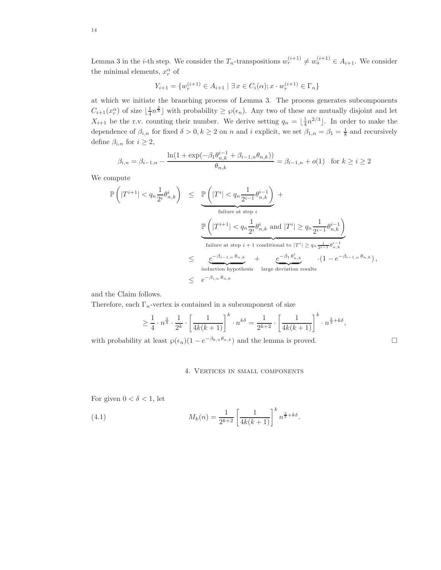Lemma 3 in the *i*-th step. We consider the  $T_n$ -transpositions  $w_r^{(i+1)} \neq w_a^{(i+1)} \in A_{i+1}$ . We consider the minimal elements,  $x_r^{\alpha}$  of

$$
Y_{i+1} = \{ w_r^{(i+1)} \in A_{i+1} \mid \exists x \in C_i(\alpha); x \cdot w_r^{(i+1)} \in \Gamma_n \}
$$

at which we initiate the branching process of Lemma 3. The process generates subcomponents  $C_{i+1}(x_i^{\alpha})$  of size  $\lfloor \frac{1}{4}n^{\frac{2}{3}} \rfloor$  with probability  $\geq \wp(\epsilon_n)$ . Any two of these are mutually disjoint and let  $X_{i+1}$  be the r.v. counting their number. We derive setting  $q_n = \lfloor \frac{1}{4} n^{2/3} \rfloor$ . In order to make the dependence of  $\beta_{i,n}$  for fixed  $\delta > 0, k \ge 2$  on n and i explicit, we set  $\beta_{1,n} = \beta_1 = \frac{1}{8}$  and recursively define  $\beta_{i,n}$  for  $i \geq 2$ ,

$$
\beta_{i,n} = \beta_{i-1,n} - \frac{\ln(1 + \exp(-\beta_1 \theta_{n,k}^{i-1} + \beta_{i-1,n} \theta_{n,k}))}{\theta_{n,k}} = \beta_{i-1,n} + o(1) \text{ for } k \ge i \ge 2
$$

We compute

$$
\begin{array}{lcl} \mathbb{P}\left(|T^{i+1}|
$$

and the Claim follows.

Therefore, each  $\Gamma_n$ -vertex is contained in a subcomponent of size

$$
\geq \frac{1}{4} \cdot n^{\frac{2}{3}} \cdot \frac{1}{2^k} \cdot \left[ \frac{1}{4k(k+1)} \right]^k \cdot n^{k\delta} = \frac{1}{2^{k+2}} \cdot \left[ \frac{1}{4k(k+1)} \right]^k \cdot n^{\frac{2}{3} + k\delta},
$$

with probability at least  $\wp(\epsilon_n)(1 - e^{-\beta_{k,n}\theta_{n,k}})$  and the lemma is proved.

#### 4. Vertices in small components

For given  $0 < \delta < 1$ , let

(4.1) 
$$
M_k(n) = \frac{1}{2^{k+2}} \left[ \frac{1}{4k(k+1)} \right]^k n^{\frac{2}{3} + k\delta}.
$$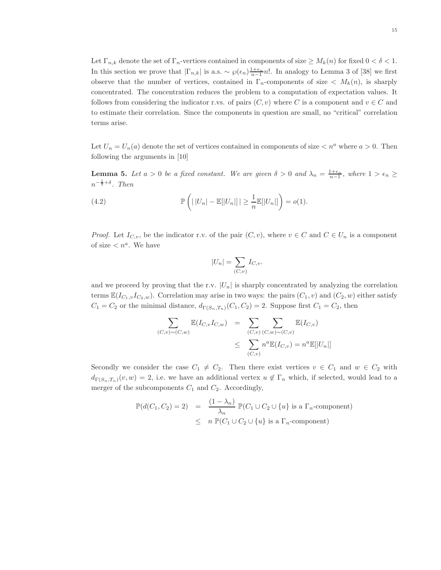Let  $\Gamma_{n,k}$  denote the set of  $\Gamma_n$ -vertices contained in components of size  $\geq M_k(n)$  for fixed  $0 < \delta < 1$ . In this section we prove that  $|\Gamma_{n,k}|$  is a.s.  $\sim \wp(\epsilon_n) \frac{1+\epsilon_n}{n-1} n!$ . In analogy to Lemma 3 of [38] we first observe that the number of vertices, contained in  $\Gamma_n$ -components of size  $\langle M_k(n), \rangle$  is sharply concentrated. The concentration reduces the problem to a computation of expectation values. It follows from considering the indicator r.vs. of pairs  $(C, v)$  where C is a component and  $v \in C$  and to estimate their correlation. Since the components in question are small, no "critical" correlation terms arise.

Let  $U_n = U_n(a)$  denote the set of vertices contained in components of size  $\langle a \rangle$  where  $a > 0$ . Then following the arguments in [10]

**Lemma 5.** Let  $a > 0$  be a fixed constant. We are given  $\delta > 0$  and  $\lambda_n = \frac{1+\epsilon_n}{n-1}$ , where  $1 > \epsilon_n \ge$  $n^{-\frac{1}{3}+\delta}$ . Then

(4.2) 
$$
\mathbb{P}\left(||U_n| - \mathbb{E}[|U_n|]|| \geq \frac{1}{n}\mathbb{E}[|U_n|]\right) = o(1).
$$

*Proof.* Let  $I_{C,v}$ , be the indicator r.v. of the pair  $(C, v)$ , where  $v \in C$  and  $C \in U_n$  is a component of size  $n^a$ . We have

$$
|U_n| = \sum_{(C,v)} I_{C,v}.
$$

and we proceed by proving that the r.v.  $|U_n|$  is sharply concentrated by analyzing the correlation terms  $\mathbb{E}(I_{C_1,v}I_{C_2,w})$ . Correlation may arise in two ways: the pairs  $(C_1,v)$  and  $(C_2,w)$  either satisfy  $C_1 = C_2$  or the minimal distance,  $d_{\Gamma(S_n,T_n)}(C_1, C_2) = 2$ . Suppose first  $C_1 = C_2$ , then

$$
\sum_{(C,v)\sim(C,w)} \mathbb{E}(I_{C,v}I_{C,w}) = \sum_{(C,v)} \sum_{(C,w)\sim(C,v)} \mathbb{E}(I_{C,v})
$$
\n
$$
\leq \sum_{(C,v)} n^a \mathbb{E}(I_{C,v}) = n^a \mathbb{E}[|U_n|]
$$

Secondly we consider the case  $C_1 \neq C_2$ . Then there exist vertices  $v \in C_1$  and  $w \in C_2$  with  $d_{\Gamma(S_n,T_n)}(v,w) = 2$ , i.e. we have an additional vertex  $u \notin \Gamma_n$  which, if selected, would lead to a merger of the subcomponents  $C_1$  and  $C_2$ . Accordingly,

$$
\mathbb{P}(d(C_1, C_2) = 2) = \frac{(1 - \lambda_n)}{\lambda_n} \mathbb{P}(C_1 \cup C_2 \cup \{u\} \text{ is a } \Gamma_n\text{-component})
$$
  
 
$$
\leq n \mathbb{P}(C_1 \cup C_2 \cup \{u\} \text{ is a } \Gamma_n\text{-component})
$$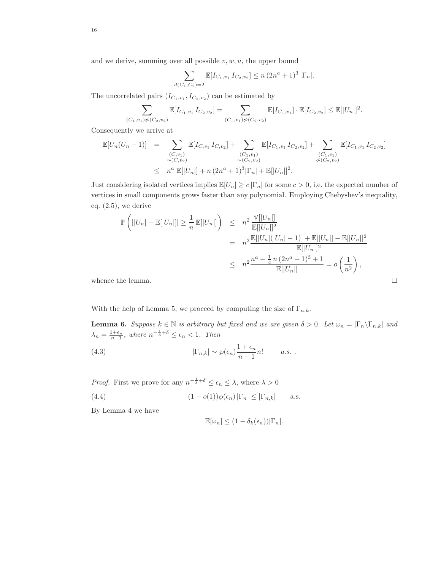and we derive, summing over all possible  $v, w, u$ , the upper bound

$$
\sum_{d(C_1, C_2) = 2} \mathbb{E}[I_{C_1, v_1} I_{C_2, v_2}] \le n (2n^a + 1)^3 |\Gamma_n|.
$$

The uncorrelated pairs  $(I_{C_1,v_1}, I_{C_2,v_2})$  can be estimated by

$$
\sum_{(C_1,v_1)\not\sim (C_2,v_2)} \mathbb{E}[I_{C_1,v_1} I_{C_2,v_2}] = \sum_{(C_1,v_1)\not\sim (C_2,v_2)} \mathbb{E}[I_{C_1,v_1}] \cdot \mathbb{E}[I_{C_2,v_2}] \leq \mathbb{E}[|U_n|]^2.
$$

Consequently we arrive at

$$
\mathbb{E}[U_n(U_n-1)] = \sum_{\substack{(C,v_1) \\ \sim (C,v_2)}} \mathbb{E}[I_{C,v_1} I_{C,v_2}] + \sum_{\substack{(C_1,v_1) \\ \sim (C_2,v_2)}} \mathbb{E}[I_{C_1,v_1} I_{C_2,v_2}] + \sum_{\substack{(C_1,v_1) \\ \sim (C_2,v_2)}} \mathbb{E}[I_{C_1,v_1} I_{C_2,v_2}]
$$
\n
$$
\leq n^a \mathbb{E}[|U_n|] + n(2n^a+1)^3 |\Gamma_n| + \mathbb{E}[|U_n|]^2.
$$

Just considering isolated vertices implies  $\mathbb{E}[U_n] \ge c |\Gamma_n|$  for some  $c > 0$ , i.e. the expected number of vertices in small components grows faster than any polynomial. Employing Chebyshev's inequality, eq. (2.5), we derive

$$
\mathbb{P}\left(||U_n| - \mathbb{E}[|U_n|] \ge \frac{1}{n} \mathbb{E}[|U_n|] \right) \le n^2 \frac{\mathbb{V}[|U_n|]}{\mathbb{E}[|U_n|]^2}
$$
  
=  $n^2 \frac{\mathbb{E}[|U_n|(|U_n| - 1)] + \mathbb{E}[|U_n|] - \mathbb{E}[|U_n|]^2}{\mathbb{E}[|U_n|]^2}$   
 $\le n^2 \frac{n^a + \frac{1}{c}n(2n^a + 1)^3 + 1}{\mathbb{E}[|U_n|]} = o\left(\frac{1}{n^2}\right),$ 

whence the lemma.  $\Box$ 

With the help of Lemma 5, we proceed by computing the size of  $\Gamma_{n,k}$ .

**Lemma 6.** Suppose  $k \in \mathbb{N}$  is arbitrary but fixed and we are given  $\delta > 0$ . Let  $\omega_n = |\Gamma_n \setminus \Gamma_{n,k}|$  and  $\lambda_n = \frac{1+\epsilon_n}{n-1}$ , where  $n^{-\frac{1}{3}+\delta} \leq \epsilon_n < 1$ . Then

(4.3) 
$$
|\Gamma_{n,k}| \sim \wp(\epsilon_n) \frac{1+\epsilon_n}{n-1} n! \qquad a.s. .
$$

*Proof.* First we prove for any  $n^{-\frac{1}{3}+\delta} \leq \epsilon_n \leq \lambda$ , where  $\lambda > 0$ 

(4.4) 
$$
(1 - o(1))\wp(\epsilon_n) |\Gamma_n| \leq |\Gamma_{n,k}| \quad \text{a.s.}
$$

By Lemma 4 we have

$$
\mathbb{E}[\omega_n] \le (1 - \delta_k(\epsilon_n)) |\Gamma_n|.
$$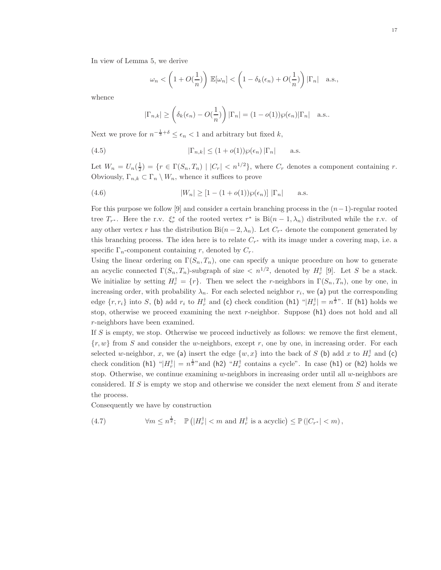In view of Lemma 5, we derive

$$
\omega_n < \left(1+O(\frac{1}{n})\right) \, \mathbb{E}[\omega_n] < \left(1-\delta_k(\epsilon_n)+O(\frac{1}{n})\right) |\Gamma_n| \quad \text{a.s.},
$$

whence

$$
|\Gamma_{n,k}| \geq \left(\delta_k(\epsilon_n) - O(\frac{1}{n})\right)|\Gamma_n| = (1 - o(1))\wp(\epsilon_n)|\Gamma_n|
$$
 a.s..

Next we prove for  $n^{-\frac{1}{3}+\delta} \leq \epsilon_n < 1$  and arbitrary but fixed k,

(4.5) 
$$
|\Gamma_{n,k}| \le (1+o(1))\wp(\epsilon_n)|\Gamma_n| \quad \text{a.s.}
$$

Let  $W_n = U_n(\frac{1}{2}) = \{r \in \Gamma(S_n, T_n) \mid |C_r| < n^{1/2}\},\$  where  $C_r$  denotes a component containing r. Obviously,  $\Gamma_{n,k} \subset \Gamma_n \setminus W_n$ , whence it suffices to prove

(4.6) 
$$
|W_n| \geq [1 - (1 + o(1))\wp(\epsilon_n)] |\Gamma_n| \quad \text{a.s.}
$$

For this purpose we follow [9] and consider a certain branching process in the  $(n-1)$ -regular rooted tree  $T_{r^*}$ . Here the r.v.  $\xi_r^*$  of the rooted vertex  $r^*$  is  $\text{Bi}(n-1,\lambda_n)$  distributed while the r.v. of any other vertex r has the distribution  $\text{Bi}(n-2,\lambda_n)$ . Let  $C_{r^*}$  denote the component generated by this branching process. The idea here is to relate  $C_{r^*}$  with its image under a covering map, i.e. a specific  $\Gamma_n$ -component containing r, denoted by  $C_r$ .

Using the linear ordering on  $\Gamma(S_n, T_n)$ , one can specify a unique procedure on how to generate an acyclic connected  $\Gamma(S_n, T_n)$ -subgraph of size  $\langle n^{1/2}, \text{denoted by } H_r^{\dagger}$  [9]. Let S be a stack. We initialize by setting  $H_r^{\dagger} = \{r\}$ . Then we select the r-neighbors in  $\Gamma(S_n, T_n)$ , one by one, in increasing order, with probability  $\lambda_n$ . For each selected neighbor  $r_i$ , we (a) put the corresponding edge  $\{r, r_i\}$  into S, (b) add  $r_i$  to  $H_r^{\dagger}$  and (c) check condition (h1) " $|H_r^{\dagger}| = n^{\frac{1}{2}n}$ . If (h1) holds we stop, otherwise we proceed examining the next  $r$ -neighbor. Suppose  $(h1)$  does not hold and all r-neighbors have been examined.

If  $S$  is empty, we stop. Otherwise we proceed inductively as follows: we remove the first element,  $\{r, w\}$  from S and consider the w-neighbors, except r, one by one, in increasing order. For each selected w-neighbor, x, we (a) insert the edge  $\{w, x\}$  into the back of S (b) add x to  $H_r^{\dagger}$  and (c) check condition (h1) " $|H_r^{\dagger}| = n^{\frac{1}{2}n}$  and (h2) " $H_r^{\dagger}$  contains a cycle". In case (h1) or (h2) holds we stop. Otherwise, we continue examining w-neighbors in increasing order until all w-neighbors are considered. If S is empty we stop and otherwise we consider the next element from  $S$  and iterate the process.

Consequently we have by construction

(4.7) 
$$
\forall m \leq n^{\frac{1}{2}}; \quad \mathbb{P}\left(|H_r^{\dagger}| < m \text{ and } H_r^{\dagger} \text{ is a acyclic}\right) \leq \mathbb{P}\left(|C_{r^*}| < m\right),
$$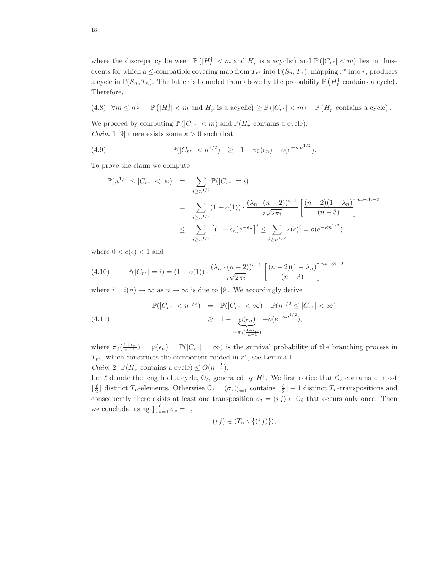where the discrepancy between  $\mathbb{P}\left(|H_r^{\dagger}| < m \text{ and } H_r^{\dagger} \text{ is a acyclic}\right)$  and  $\mathbb{P}\left(|C_{r^*}| < m\right)$  lies in those events for which a  $\leq$ -compatible covering map from  $T_{r^*}$  into  $\Gamma(S_n, T_n)$ , mapping  $r^*$  into r, produces a cycle in  $\Gamma(S_n, T_n)$ . The latter is bounded from above by the probability  $\mathbb{P}(H_r^{\dagger}$  contains a cycle). Therefore,

(4.8) 
$$
\forall m \le n^{\frac{1}{2}}
$$
;  $\mathbb{P}(|H_r^{\dagger}| < m \text{ and } H_r^{\dagger} \text{ is a acyclic}) \ge \mathbb{P}(|C_{r^*}| < m) - \mathbb{P}(H_r^{\dagger} \text{ contains a cycle}).$ 

We proceed by computing  $\mathbb{P}(|C_{r^*}| < m)$  and  $\mathbb{P}(H_r^{\dagger}$  contains a cycle). *Claim* 1:[9] there exists some  $\kappa > 0$  such that

(4.9) 
$$
\mathbb{P}(|C_{r^*}| < n^{1/2}) \geq 1 - \pi_0(\epsilon_n) - o(e^{-\kappa n^{1/2}}).
$$

To prove the claim we compute

$$
\mathbb{P}(n^{1/2} \le |C_{r^*}| < \infty) = \sum_{i \ge n^{1/2}} \mathbb{P}(|C_{r^*}| = i)
$$
  
= 
$$
\sum_{i \ge n^{1/2}} (1 + o(1)) \cdot \frac{(\lambda_n \cdot (n-2))^{i-1}}{i\sqrt{2\pi i}} \left[ \frac{(n-2)(1-\lambda_n)}{(n-3)} \right]^{ni-3i+2}
$$
  

$$
\le \sum_{i \ge n^{1/2}} \left[ (1 + \epsilon_n) e^{-\epsilon_n} \right]^i \le \sum_{i \ge n^{1/2}} c(\epsilon)^i = o(e^{-\kappa n^{1/2}}),
$$

where  $0 < c(\epsilon) < 1$  and

(4.10) 
$$
\mathbb{P}(|C_{r^*}| = i) = (1 + o(1)) \cdot \frac{(\lambda_n \cdot (n-2))^{i-1}}{i\sqrt{2\pi i}} \left[ \frac{(n-2)(1-\lambda_n)}{(n-3)} \right]^{ni-3i+2},
$$

where  $i = i(n) \rightarrow \infty$  as  $n \rightarrow \infty$  is due to [9]. We accordingly derive

$$
\mathbb{P}(|C_{r^*}| < n^{1/2}) = \mathbb{P}(|C_{r^*}| < \infty) - \mathbb{P}(n^{1/2} \le |C_{r^*}| < \infty)
$$
\n
$$
\ge 1 - \underbrace{\wp(\epsilon_n)}_{= \pi_0(\frac{1 + \epsilon_n}{n - 1})} - o(e^{-\kappa n^{1/2}}),
$$
\n
$$
(4.11)
$$

where  $\pi_0(\frac{1+\epsilon_n}{n-1}) = \wp(\epsilon_n) = \mathbb{P}(|C_{r^*}| = \infty)$  is the survival probability of the branching process in  $T_{r^*}$ , which constructs the component rooted in  $r^*$ , see Lemma 1.

*Claim* 2:  $\mathbb{P}(H_r^{\dagger} \text{ contains a cycle}) \leq O(n^{-\frac{1}{2}}).$ 

Let  $\ell$  denote the length of a cycle,  $\mathcal{O}_{\ell}$ , generated by  $H_r^{\dagger}$ . We first notice that  $\mathcal{O}_{\ell}$  contains at most  $\lfloor \frac{\ell}{2} \rfloor$  distinct  $T_n$ -elements. Otherwise  $\mathcal{O}_{\ell} = (\sigma_s)_{s=1}^{\ell}$  contains  $\lfloor \frac{\ell}{2} \rfloor + 1$  distinct  $T_n$ -transpositions and consequently there exists at least one transposition  $\sigma_t = (i j) \in \mathcal{O}_{\ell}$  that occurs only once. Then we conclude, using  $\prod_{s=1}^{\ell} \sigma_s = 1$ ,

$$
(i j) \in \langle T_n \setminus \{(i j)\}\rangle,
$$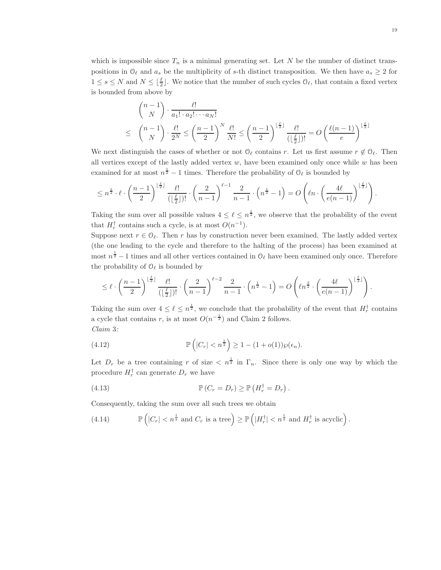which is impossible since  $T_n$  is a minimal generating set. Let N be the number of distinct transpositions in  $\mathcal{O}_{\ell}$  and  $a_s$  be the multiplicity of s-th distinct transposition. We then have  $a_s \geq 2$  for  $1 \leq s \leq N$  and  $N \leq \lfloor \frac{\ell}{2} \rfloor$ . We notice that the number of such cycles  $\mathcal{O}_{\ell}$ , that contain a fixed vertex is bounded from above by

$$
\binom{n-1}{N} \cdot \frac{\ell!}{a_1! \cdot a_2! \cdots a_N!}
$$
\n
$$
\leq \binom{n-1}{N} \cdot \frac{\ell!}{2^N} \leq \left(\frac{n-1}{2}\right)^N \frac{\ell!}{N!} \leq \left(\frac{n-1}{2}\right)^{\lfloor \frac{\ell}{2} \rfloor} \frac{\ell!}{\left(\lfloor \frac{\ell}{2} \rfloor \right)!} = O\left(\frac{\ell(n-1)}{e}\right)^{\lfloor \frac{\ell}{2} \rfloor}
$$

We next distinguish the cases of whether or not  $\mathcal{O}_{\ell}$  contains r. Let us first assume  $r \notin \mathcal{O}_{\ell}$ . Then all vertices except of the lastly added vertex  $w$ , have been examined only once while  $w$  has been examined for at most  $n^{\frac{1}{2}} - 1$  times. Therefore the probability of  $\mathcal{O}_{\ell}$  is bounded by

$$
\leq n^{\frac{1}{2}} \cdot \ell \cdot \left(\frac{n-1}{2}\right)^{\lfloor \frac{\ell}{2} \rfloor} \frac{\ell!}{(\lfloor \frac{\ell}{2} \rfloor)!} \cdot \left(\frac{2}{n-1}\right)^{\ell-1} \frac{2}{n-1} \cdot \left(n^{\frac{1}{2}}-1\right) = O\left(\ell n \cdot \left(\frac{4\ell}{e(n-1)}\right)^{\lfloor \frac{\ell}{2} \rfloor}\right).
$$

Taking the sum over all possible values  $4 \leq \ell \leq n^{\frac{1}{2}}$ , we observe that the probability of the event that  $H_r^{\dagger}$  contains such a cycle, is at most  $O(n^{-1})$ .

Suppose next  $r \in \mathcal{O}_\ell$ . Then r has by construction never been examined. The lastly added vertex (the one leading to the cycle and therefore to the halting of the process) has been examined at most  $n^{\frac{1}{2}}-1$  times and all other vertices contained in  $\mathcal{O}_{\ell}$  have been examined only once. Therefore the probability of  $\mathcal{O}_{\ell}$  is bounded by

$$
\leq \ell \cdot \left(\frac{n-1}{2}\right)^{\lfloor \frac{\ell}{2} \rfloor} \frac{\ell!}{(\lfloor \frac{\ell}{2} \rfloor)!} \cdot \left(\frac{2}{n-1}\right)^{\ell-2} \frac{2}{n-1} \cdot \left(n^{\frac{1}{2}}-1\right) = O\left(\ell n^{\frac{3}{2}} \cdot \left(\frac{4\ell}{e(n-1)}\right)^{\lfloor \frac{\ell}{2} \rfloor}\right).
$$

Taking the sum over  $4 \leq \ell \leq n^{\frac{1}{2}}$ , we conclude that the probability of the event that  $H_r^{\dagger}$  contains a cycle that contains r, is at most  $O(n^{-\frac{1}{2}})$  and Claim 2 follows. Claim 3:

(4.12) 
$$
\mathbb{P}\left(|C_r| < n^{\frac{1}{2}}\right) \geq 1 - (1 + o(1))\wp(\epsilon_n).
$$

Let  $D_r$  be a tree containing r of size  $\langle n^{\frac{1}{2}} \text{ in } \Gamma_n$ . Since there is only one way by which the procedure  $H_r^{\dagger}$  can generate  $D_r$  we have

(4.13) 
$$
\mathbb{P}\left(C_r = D_r\right) \ge \mathbb{P}\left(H_r^{\dagger} = D_r\right).
$$

Consequently, taking the sum over all such trees we obtain

(4.14) 
$$
\mathbb{P}\left(|C_r| < n^{\frac{1}{2}} \text{ and } C_r \text{ is a tree}\right) \ge \mathbb{P}\left(|H_r^{\dagger}| < n^{\frac{1}{2}} \text{ and } H_r^{\dagger} \text{ is acyclic}\right).
$$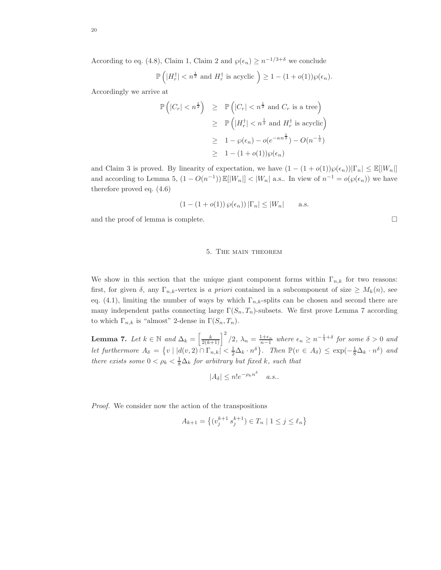According to eq. (4.8), Claim 1, Claim 2 and  $\varphi(\epsilon_n) \geq n^{-1/3+\delta}$  we conclude

$$
\mathbb{P}\left(|H_r^{\dagger}| < n^{\frac{1}{2}} \text{ and } H_r^{\dagger} \text{ is acyclic }\right) \geq 1 - (1 + o(1))\wp(\epsilon_n).
$$

Accordingly we arrive at

$$
\mathbb{P}\left(|C_r| < n^{\frac{1}{2}}\right) \geq \mathbb{P}\left(|C_r| < n^{\frac{1}{2}} \text{ and } C_r \text{ is a tree}\right)
$$
\n
$$
\geq \mathbb{P}\left(|H_r^{\dagger}| < n^{\frac{1}{2}} \text{ and } H_r^{\dagger} \text{ is acyclic}\right)
$$
\n
$$
\geq 1 - \wp(\epsilon_n) - o(e^{-\kappa n^{\frac{1}{2}}}) - O(n^{-\frac{1}{2}})
$$
\n
$$
\geq 1 - (1 + o(1))\wp(\epsilon_n)
$$

and Claim 3 is proved. By linearity of expectation, we have  $(1 - (1 + o(1))\wp(\epsilon_n))|\Gamma_n| \leq \mathbb{E}[|W_n|]$ and according to Lemma 5,  $(1 - O(n^{-1})) \mathbb{E}[|W_n|] < |W_n|$  a.s.. In view of  $n^{-1} = o(\wp(\epsilon_n))$  we have therefore proved eq. (4.6)

$$
(1 - (1 + o(1)) \wp(\epsilon_n)) |\Gamma_n| \le |W_n| \quad \text{a.s.}
$$

and the proof of lemma is complete.  $\Box$ 

#### 5. The main theorem

We show in this section that the unique giant component forms within  $\Gamma_{n,k}$  for two reasons: first, for given  $\delta$ , any  $\Gamma_{n,k}$ -vertex is a priori contained in a subcomponent of size  $\geq M_k(n)$ , see eq. (4.1), limiting the number of ways by which  $\Gamma_{n,k}$ -splits can be chosen and second there are many independent paths connecting large  $\Gamma(S_n, T_n)$ -subsets. We first prove Lemma 7 according to which  $\Gamma_{n,k}$  is "almost" 2-dense in  $\Gamma(S_n, T_n)$ .

**Lemma 7.** Let  $k \in \mathbb{N}$  and  $\Delta_k = \left[\frac{k}{2(k+1)}\right]^2/2$ ,  $\lambda_n = \frac{1+\epsilon_n}{n-1}$  where  $\epsilon_n \geq n^{-\frac{1}{3}+\delta}$  for some  $\delta > 0$  and let furthermore  $A_{\delta} = \{v \mid |d(v,2) \cap \Gamma_{n,k}| < \frac{1}{2} \Delta_k \cdot n^{\delta} \}$ . Then  $\mathbb{P}(v \in A_{\delta}) \leq \exp(-\frac{1}{8}\Delta_k \cdot n^{\delta})$  and there exists some  $0 < \rho_k < \frac{1}{8}\Delta_k$  for arbitrary but fixed k, such that

$$
|A_{\delta}| \le n!e^{-\rho_k n^{\delta}} \quad a.s..
$$

Proof. We consider now the action of the transpositions

$$
A_{k+1} = \left\{ (v_j^{k+1} s_j^{k+1}) \in T_n \mid 1 \le j \le \ell_n \right\}
$$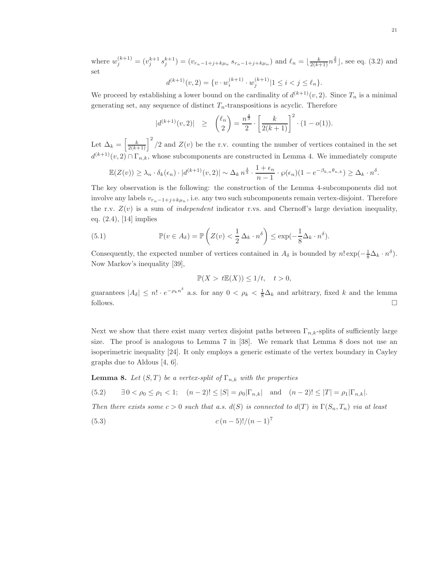where  $w_j^{(k+1)} = (v_j^{k+1} s_j^{k+1}) = (v_{r_n-1+j+k\mu_n} s_{r_n-1+j+k\mu_n})$  and  $\ell_n = \lfloor \frac{k}{2(k+1)} n^{\frac{2}{3}} \rfloor$ , see eq. (3.2) and set

$$
d^{(k+1)}(v,2) = \{v \cdot w_i^{(k+1)} \cdot w_j^{(k+1)} | 1 \le i < j \le \ell_n \}.
$$

We proceed by establishing a lower bound on the cardinality of  $d^{(k+1)}(v, 2)$ . Since  $T_n$  is a minimal generating set, any sequence of distinct  $T_n$ -transpositions is acyclic. Therefore

$$
|d^{(k+1)}(v,2)| \geq {(\ell_n \choose 2} = \frac{n^{\frac{4}{3}}}{2} \cdot \left[\frac{k}{2(k+1)}\right]^2 \cdot (1 - o(1)).
$$

Let  $\Delta_k = \left[\frac{k}{2(k+1)}\right]^2/2$  and  $Z(v)$  be the r.v. counting the number of vertices contained in the set  $d^{(k+1)}(v, 2) \cap \Gamma_{n,k}$ , whose subcomponents are constructed in Lemma 4. We immediately compute

$$
\mathbb{E}(Z(v)) \geq \lambda_n \cdot \delta_k(\epsilon_n) \cdot |d^{(k+1)}(v,2)| \sim \Delta_k n^{\frac{4}{3}} \cdot \frac{1+\epsilon_n}{n-1} \cdot \wp(\epsilon_n) (1-e^{-\beta_{k,n}\theta_{n,k}}) \geq \Delta_k \cdot n^{\delta}.
$$

The key observation is the following: the construction of the Lemma 4-subcomponents did not involve any labels  $v_{r_n-1+j+k\mu_n}$ , i.e. any two such subcomponents remain vertex-disjoint. Therefore the r.v.  $Z(v)$  is a sum of *independent* indicator r.vs. and Chernoff's large deviation inequality, eq. (2.4), [14] implies

(5.1) 
$$
\mathbb{P}(v \in A_{\delta}) = \mathbb{P}\left(Z(v) < \frac{1}{2}\Delta_k \cdot n^{\delta}\right) \leq \exp(-\frac{1}{8}\Delta_k \cdot n^{\delta}).
$$

Consequently, the expected number of vertices contained in  $A_{\delta}$  is bounded by  $n! \exp(-\frac{1}{8}\Delta_k \cdot n^{\delta})$ . Now Markov's inequality [39],

$$
\mathbb{P}(X > t\mathbb{E}(X)) \le 1/t, \quad t > 0,
$$

guarantees  $|A_{\delta}| \leq n! \cdot e^{-\rho_k n^{\delta}}$  a.s. for any  $0 < \rho_k < \frac{1}{8}\Delta_k$  and arbitrary, fixed k and the lemma follows.  $\Box$ 

Next we show that there exist many vertex disjoint paths between  $\Gamma_{n,k}$ -splits of sufficiently large size. The proof is analogous to Lemma 7 in [38]. We remark that Lemma 8 does not use an isoperimetric inequality [24]. It only employs a generic estimate of the vertex boundary in Cayley graphs due to Aldous [4, 6].

**Lemma 8.** Let  $(S, T)$  be a vertex-split of  $\Gamma_{n,k}$  with the properties

(5.2)  $\exists 0 < \rho_0 \le \rho_1 < 1;$   $(n-2)! \le |S| = \rho_0 |\Gamma_{n,k}|$  and  $(n-2)! \le |T| = \rho_1 |\Gamma_{n,k}|$ .

Then there exists some  $c > 0$  such that a.s.  $d(S)$  is connected to  $d(T)$  in  $\Gamma(S_n, T_n)$  via at least

(5.3) 
$$
c(n-5)!/(n-1)^7
$$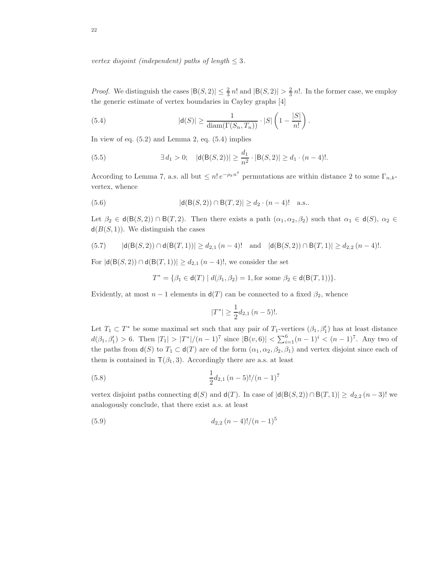vertex disjoint (independent) paths of length  $\leq$  3.

*Proof.* We distinguish the cases  $|B(S, 2)| \leq \frac{2}{3} n!$  and  $|B(S, 2)| > \frac{2}{3} n!$ . In the former case, we employ the generic estimate of vertex boundaries in Cayley graphs [4]

(5.4) 
$$
|\mathsf{d}(S)| \geq \frac{1}{\mathrm{diam}(\Gamma(S_n, T_n))} \cdot |S| \left(1 - \frac{|S|}{n!}\right).
$$

In view of eq.  $(5.2)$  and Lemma 2, eq.  $(5.4)$  implies

(5.5) 
$$
\exists d_1 > 0; \quad |\mathsf{d}(\mathsf{B}(S,2))| \ge \frac{d_1}{n^2} \cdot |\mathsf{B}(S,2)| \ge d_1 \cdot (n-4)!.
$$

According to Lemma 7, a.s. all but  $\leq n! e^{-\rho_k n^{\delta}}$  permutations are within distance 2 to some  $\Gamma_{n,k}$ . vertex, whence

(5.6) 
$$
|d(B(S, 2)) \cap B(T, 2)| \ge d_2 \cdot (n - 4)! \quad a.s..
$$

Let  $\beta_2 \in d(B(S, 2)) \cap B(T, 2)$ . Then there exists a path  $(\alpha_1, \alpha_2, \beta_2)$  such that  $\alpha_1 \in d(S)$ ,  $\alpha_2 \in$  $d(B(S, 1))$ . We distinguish the cases

$$
(5.7) \qquad |\mathsf{d}(\mathsf{B}(S,2)) \cap \mathsf{d}(\mathsf{B}(T,1))| \ge d_{2,1}(n-4)! \quad \text{and} \quad |\mathsf{d}(\mathsf{B}(S,2)) \cap \mathsf{B}(T,1)| \ge d_{2,2}(n-4)!.
$$

For  $|d(B(S, 2)) \cap d(B(T, 1))| \ge d_{2,1} (n-4)!$ , we consider the set

$$
T^*=\{\beta_1\in \mathsf{d}(T)\mid d(\beta_1,\beta_2)=1, \text{for some }\beta_2\in \mathsf{d}(\mathsf{B}(T,1))\}.
$$

Evidently, at most  $n-1$  elements in  $d(T)$  can be connected to a fixed  $\beta_2$ , whence

$$
|T^*| \geq \frac{1}{2}d_{2,1}\,(n-5)!\ .
$$

Let  $T_1 \subset T^*$  be some maximal set such that any pair of  $T_1$ -vertices  $(\beta_1, \beta'_1)$  has at least distance  $d(\beta_1, \beta_1') > 6$ . Then  $|T_1| > |T^*|/(n-1)^7$  since  $|B(v, 6)| < \sum_{i=1}^6 (n-1)^i < (n-1)^7$ . Any two of the paths from  $d(S)$  to  $T_1 \subset d(T)$  are of the form  $(\alpha_1, \alpha_2, \beta_2, \beta_1)$  and vertex disjoint since each of them is contained in  $\mathsf{T}(\beta_1,3)$ . Accordingly there are a.s. at least

(5.8) 
$$
\frac{1}{2}d_{2,1}(n-5)!/(n-1)^7
$$

vertex disjoint paths connecting  $d(S)$  and  $d(T)$ . In case of  $|d(B(S, 2)) \cap B(T, 1)| \geq d_{2,2}$   $(n-3)!$  we analogously conclude, that there exist a.s. at least

$$
(5.9) \t\t d_{2,2} (n-4)!/(n-1)^5
$$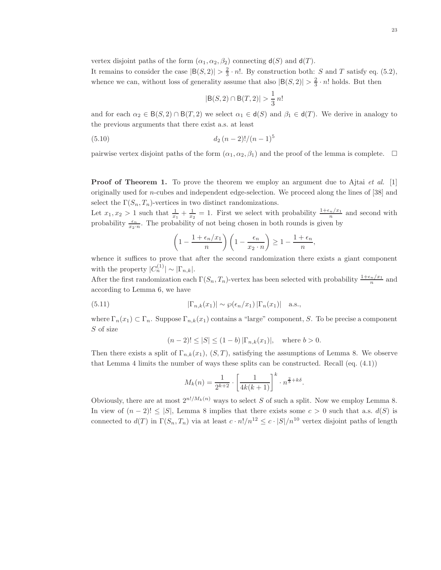vertex disjoint paths of the form  $(\alpha_1, \alpha_2, \beta_2)$  connecting  $d(S)$  and  $d(T)$ . It remains to consider the case  $|B(S, 2)| > \frac{2}{3} \cdot n!$ . By construction both: S and T satisfy eq. (5.2), whence we can, without loss of generality assume that also  $|B(S, 2)| > \frac{2}{3} \cdot n!$  holds. But then

$$
|B(S,2) \cap B(T,2)| > \frac{1}{3} n!
$$

and for each  $\alpha_2 \in B(S, 2) \cap B(T, 2)$  we select  $\alpha_1 \in d(S)$  and  $\beta_1 \in d(T)$ . We derive in analogy to the previous arguments that there exist a.s. at least

(5.10) 
$$
d_2 (n-2)!/(n-1)^5
$$

pairwise vertex disjoint paths of the form  $(\alpha_1, \alpha_2, \beta_1)$  and the proof of the lemma is complete.  $\Box$ 

**Proof of Theorem 1.** To prove the theorem we employ an argument due to Ajtai *et al.* [1] originally used for n-cubes and independent edge-selection. We proceed along the lines of [38] and select the  $\Gamma(S_n, T_n)$ -vertices in two distinct randomizations.

Let  $x_1, x_2 > 1$  such that  $\frac{1}{x_1} + \frac{1}{x_2} = 1$ . First we select with probability  $\frac{1+\epsilon_n/x_1}{n}$  and second with probability  $\frac{\epsilon_n}{x_2 \cdot n}$ . The probability of not being chosen in both rounds is given by

$$
\left(1 - \frac{1 + \epsilon_n/x_1}{n}\right)\left(1 - \frac{\epsilon_n}{x_2 \cdot n}\right) \ge 1 - \frac{1 + \epsilon_n}{n},
$$

whence it suffices to prove that after the second randomization there exists a giant component with the property  $|C_n^{(1)}| \sim |\Gamma_{n,k}|$ .

After the first randomization each  $\Gamma(S_n, T_n)$ -vertex has been selected with probability  $\frac{1+\epsilon_n/x_1}{n}$  and according to Lemma 6, we have

(5.11) 
$$
|\Gamma_{n,k}(x_1)| \sim \wp(\epsilon_n/x_1) |\Gamma_n(x_1)| \text{ a.s.},
$$

where  $\Gamma_n(x_1) \subset \Gamma_n$ . Suppose  $\Gamma_{n,k}(x_1)$  contains a "large" component, S. To be precise a component S of size

$$
(n-2)! \le |S| \le (1-b) |\Gamma_{n,k}(x_1)|, \text{ where } b > 0.
$$

Then there exists a split of  $\Gamma_{n,k}(x_1), (S,T)$ , satisfying the assumptions of Lemma 8. We observe that Lemma 4 limits the number of ways these splits can be constructed. Recall (eq. (4.1))

$$
M_k(n) = \frac{1}{2^{k+2}} \cdot \left[ \frac{1}{4k(k+1)} \right]^k \cdot n^{\frac{2}{3} + k\delta}.
$$

Obviously, there are at most  $2^{n!/M_k(n)}$  ways to select S of such a split. Now we employ Lemma 8. In view of  $(n-2)! \leq |S|$ , Lemma 8 implies that there exists some  $c > 0$  such that a.s.  $d(S)$  is connected to  $d(T)$  in  $\Gamma(S_n, T_n)$  via at least  $c \cdot n!/n^{12} \leq c \cdot |S|/n^{10}$  vertex disjoint paths of length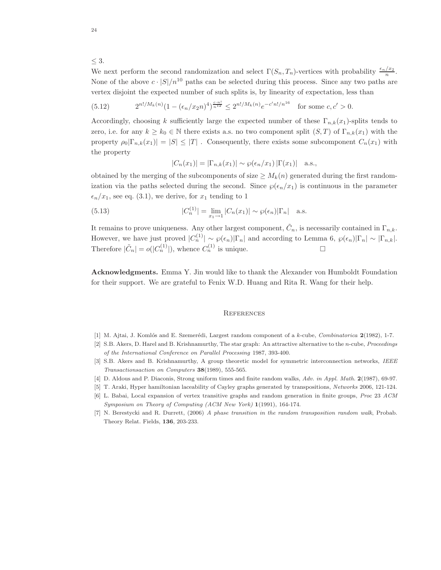$<$  3.

We next perform the second randomization and select  $\Gamma(S_n, T_n)$ -vertices with probability  $\frac{\epsilon_n/x_2}{n}$ . None of the above  $c \cdot |S|/n^{10}$  paths can be selected during this process. Since any two paths are vertex disjoint the expected number of such splits is, by linearity of expectation, less than

(5.12) 
$$
2^{n!/M_k(n)}(1 - (\epsilon_n/x_2n)^4)^{\frac{c \cdot n!}{n^{12}}} \leq 2^{n!/M_k(n)}e^{-c'n!/n^{16}} \text{ for some } c, c' > 0.
$$

Accordingly, choosing k sufficiently large the expected number of these  $\Gamma_{n,k}(x_1)$ -splits tends to zero, i.e. for any  $k \geq k_0 \in \mathbb{N}$  there exists a.s. no two component split  $(S,T)$  of  $\Gamma_{n,k}(x_1)$  with the property  $\rho_0|\Gamma_{n,k}(x_1)| = |S| \leq |T|$ . Consequently, there exists some subcomponent  $C_n(x_1)$  with the property

$$
|C_n(x_1)| = |\Gamma_{n,k}(x_1)| \sim \wp(\epsilon_n/x_1) |\Gamma(x_1)| \quad \text{a.s.},
$$

obtained by the merging of the subcomponents of size  $\geq M_k(n)$  generated during the first randomization via the paths selected during the second. Since  $\wp(\epsilon_n/x_1)$  is continuous in the parameter  $\epsilon_n/x_1$ , see eq. (3.1), we derive, for  $x_1$  tending to 1

(5.13) 
$$
|C_n^{(1)}| = \lim_{x_1 \to 1} |C_n(x_1)| \sim \wp(\epsilon_n) |\Gamma_n| \text{ a.s.}
$$

It remains to prove uniqueness. Any other largest component,  $\tilde{C}_n$ , is necessarily contained in  $\Gamma_{n,k}$ . However, we have just proved  $|C_n^{(1)}| \sim \wp(\epsilon_n)|\Gamma_n|$  and according to Lemma 6,  $\wp(\epsilon_n)|\Gamma_n| \sim |\Gamma_{n,k}|$ . Therefore  $|\tilde{C}_n| = o(|C_n^{(1)}|)$ , whence  $C_n^{(1)}$  is unique.

Acknowledgments. Emma Y. Jin would like to thank the Alexander von Humboldt Foundation for their support. We are grateful to Fenix W.D. Huang and Rita R. Wang for their help.

#### **REFERENCES**

- [1] M. Ajtai, J. Komlós and E. Szemerédi, Largest random component of a k-cube, Combinatorica 2(1982), 1-7.
- [2] S.B. Akers, D. Harel and B. Krishnamurthy, The star graph: An attractive alternative to the n-cube, Proceedings of the International Conference on Parallel Processing 1987, 393-400.
- [3] S.B. Akers and B. Krishnamurthy, A group theoretic model for symmetric interconnection networks, IEEE Transactionsaction on Computers 38(1989), 555-565.
- [4] D. Aldous and P. Diaconis, Strong uniform times and finite random walks, Adv. in Appl. Math. 2(1987), 69-97.
- [5] T. Araki, Hyper hamiltonian laceability of Cayley graphs generated by transpositions, Networks 2006, 121-124.
- [6] L. Babai, Local expansion of vertex transitive graphs and random generation in finite groups, Proc 23 ACM Symposium on Theory of Computing (ACM New York) 1(1991), 164-174.
- [7] N. Berestycki and R. Durrett, (2006) A phase transition in the random transposition random walk, Probab. Theory Relat. Fields, 136, 203-233.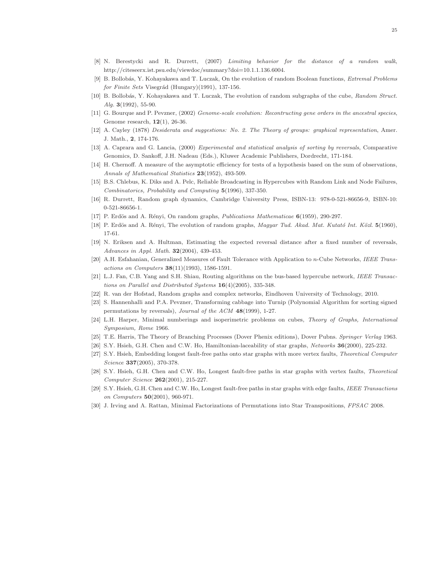- [8] N. Berestycki and R. Durrett, (2007) Limiting behavior for the distance of a random walk, http://citeseerx.ist.psu.edu/viewdoc/summary?doi=10.1.1.136.6004.
- [9] B. Bollobás, Y. Kohayakawa and T. Luczak, On the evolution of random Boolean functions, *Extremal Problems*  $for Finite Sets Visegr\acute{a}d (Hungary)(1991), 137-156.$
- [10] B. Bollobás, Y. Kohayakawa and T. Luczak, The evolution of random subgraphs of the cube, Random Struct. Alg.  $3(1992)$ , 55-90.
- [11] G. Bourque and P. Pevzner, (2002) Genome-scale evolution: Recontructing gene orders in the ancestral species, Genome research, 12(1), 26-36.
- [12] A. Cayley (1878) Desiderata and suggestions: No. 2. The Theory of groups: graphical representation, Amer. J. Math., 2, 174-176.
- [13] A. Caprara and G. Lancia, (2000) Experimental and statistical analysis of sorting by reversals, Comparative Genomics, D. Sankoff, J.H. Nadeau (Eds.), Kluwer Academic Publishers, Dordrecht, 171-184.
- [14] H. Chernoff. A measure of the asymptotic efficiency for tests of a hypothesis based on the sum of observations, Annals of Mathematical Statistics 23(1952), 493-509.
- [15] B.S. Chlebus, K. Diks and A. Pelc, Reliable Broadcasting in Hypercubes with Random Link and Node Failures, Combinatorics, Probability and Computing 5(1996), 337-350.
- [16] R. Durrett, Random graph dynamics, Cambridge University Press, ISBN-13: 978-0-521-86656-9, ISBN-10: 0-521-86656-1.
- [17] P. Erdös and A. Rényi, On random graphs, *Publications Mathematicae* 6(1959), 290-297.
- [18] P. Erdös and A. Rényi, The evolution of random graphs, Magyar Tud. Akad. Mat. Kutató Int. Közl. 5(1960), 17-61.
- [19] N. Eriksen and A. Hultman, Estimating the expected reversal distance after a fixed number of reversals, Advances in Appl. Math.  $32(2004)$ , 439-453.
- [20] A.H. Esfahanian, Generalized Measures of Fault Tolerance with Application to n-Cube Networks, IEEE Transactions on Computers 38(11)(1993), 1586-1591.
- [21] L.J. Fan, C.B. Yang and S.H. Shiau, Routing algorithms on the bus-based hypercube network, IEEE Transactions on Parallel and Distributed Systems  $16(4)(2005)$ , 335-348.
- [22] R. van der Hofstad, Random graphs and complex networks, Eindhoven University of Technology, 2010.
- [23] S. Hannenhalli and P.A. Pevzner, Transforming cabbage into Turnip (Polynomial Algorithm for sorting signed permutations by reversals), *Journal of the ACM* 48(1999), 1-27.
- [24] L.H. Harper, Minimal numberings and isoperimetric problems on cubes, Theory of Graphs, International Symposium, Rome 1966.
- [25] T.E. Harris, The Theory of Branching Processes (Dover Phenix editions), Dover Pubns. Springer Verlag 1963.
- [26] S.Y. Hsieh, G.H. Chen and C.W. Ho, Hamiltonian-laceability of star graphs, Networks 36(2000), 225-232.
- [27] S.Y. Hsieh, Embedding longest fault-free paths onto star graphs with more vertex faults, Theoretical Computer Science 337(2005), 370-378.
- [28] S.Y. Hsieh, G.H. Chen and C.W. Ho, Longest fault-free paths in star graphs with vertex faults, Theoretical Computer Science 262(2001), 215-227.
- [29] S.Y. Hsieh, G.H. Chen and C.W. Ho, Longest fault-free paths in star graphs with edge faults, IEEE Transactions on Computers 50(2001), 960-971.
- [30] J. Irving and A. Rattan, Minimal Factorizations of Permutations into Star Transpositions, FPSAC 2008.